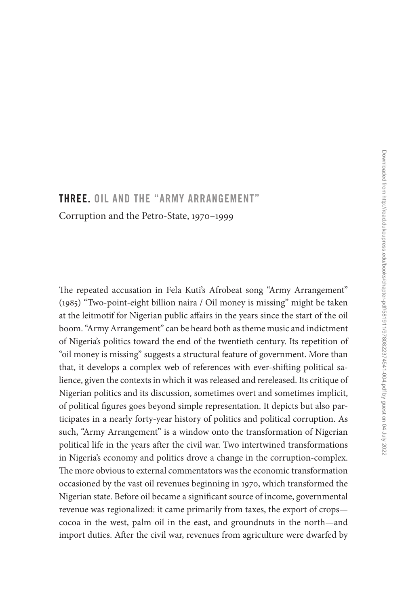# [THREE. OIL AND THE "ARMY ARRANGEMENT"](#page--1-0) Corruption and the Petro-State, 1970–1999

The repeated accusation in Fela Kuti's Afrobeat song "Army Arrangement" (1985) "Two-point-eight billion naira / Oil money is missing" might be taken at the leitmotif for Nigerian public affairs in the years since the start of the oil boom. "Army Arrangement" can be heard both as theme music and indictment of Nigeria's politics toward the end of the twentieth century. Its repetition of "oil money is missing" suggests a structural feature of government. More than that, it develops a complex web of references with ever-shifting political salience, given the contexts in which it was released and rereleased. Its critique of Nigerian politics and its discussion, sometimes overt and sometimes implicit, of political figures goes beyond simple representation. It depicts but also participates in a nearly forty-year history of politics and political corruption. As such, "Army Arrangement" is a window onto the transformation of Nigerian political life in the years after the civil war. Two intertwined transformations in Nigeria's economy and politics drove a change in the corruption-complex. The more obvious to external commentators was the economic transformation occasioned by the vast oil revenues beginning in 1970, which transformed the Nigerian state. Before oil became a significant source of income, governmental revenue was regionalized: it came primarily from taxes, the export of crops cocoa in the west, palm oil in the east, and groundnuts in the north—and import duties. After the civil war, revenues from agriculture were dwarfed by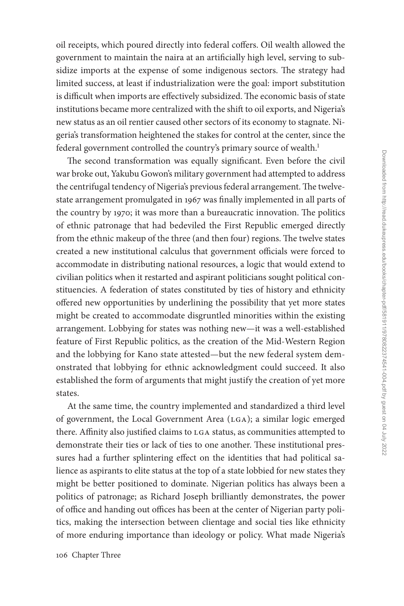oil receipts, which poured directly into federal coffers. Oil wealth allowed the government to maintain the naira at an artificially high level, serving to subsidize imports at the expense of some indigenous sectors. The strategy had limited success, at least if industrialization were the goal: import substitution is difficult when imports are effectively subsidized. The economic basis of state institutions became more centralized with the shift to oil exports, and Nigeria's new status as an oil rentier caused other sectors of its economy to stagnate. Nigeria's transformation heightened the stakes for control at the center, since the federal government controlled the country's primary source of wealth.<sup>1</sup>

The second transformation was equally significant. Even before the civil war broke out, Yakubu Gowon's military government had attempted to address the centrifugal tendency of Nigeria's previous federal arrangement. The twelvestate arrangement promulgated in 1967 was finally implemented in all parts of the country by 1970; it was more than a bureaucratic innovation. The politics of ethnic patronage that had bedeviled the First Republic emerged directly from the ethnic makeup of the three (and then four) regions. The twelve states created a new institutional calculus that government officials were forced to accommodate in distributing national resources, a logic that would extend to civilian politics when it restarted and aspirant politicians sought political constituencies. A federation of states constituted by ties of history and ethnicity offered new opportunities by underlining the possibility that yet more states might be created to accommodate disgruntled minorities within the existing arrangement. Lobbying for states was nothing new—it was a well-established feature of First Republic politics, as the creation of the Mid-Western Region and the lobbying for Kano state attested—but the new federal system demonstrated that lobbying for ethnic acknowledgment could succeed. It also established the form of arguments that might justify the creation of yet more states.

At the same time, the country implemented and standardized a third level of government, the Local Government Area (LGA); a similar logic emerged there. Affinity also justified claims to LGA status, as communities attempted to demonstrate their ties or lack of ties to one another. These institutional pressures had a further splintering effect on the identities that had political salience as aspirants to elite status at the top of a state lobbied for new states they might be better positioned to dominate. Nigerian politics has always been a politics of patronage; as Richard Joseph brilliantly demonstrates, the power of office and handing out offices has been at the center of Nigerian party politics, making the intersection between clientage and social ties like ethnicity of more enduring importance than ideology or policy. What made Nigeria's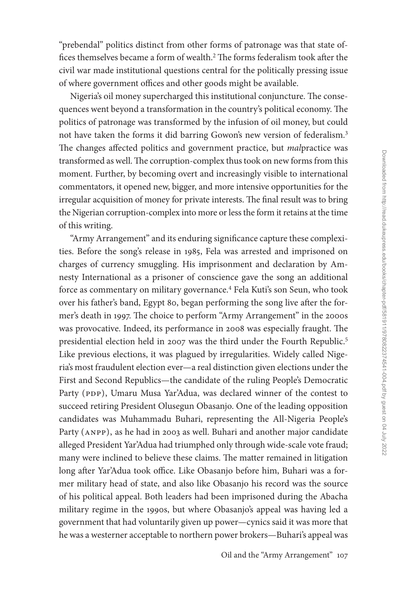"prebendal" politics distinct from other forms of patronage was that state of-fices themselves became a form of wealth.<sup>[2](#page--1-0)</sup> The forms federalism took after the civil war made institutional questions central for the politically pressing issue of where government offices and other goods might be available.

Nigeria's oil money supercharged this institutional conjuncture. The consequences went beyond a transformation in the country's political economy. The politics of patronage was transformed by the infusion of oil money, but could not have taken the forms it did barring Gowon's new version of federalism.<sup>3</sup> The changes affected politics and government practice, but *mal*practice was transformed as well. The corruption-complex thus took on new forms from this moment. Further, by becoming overt and increasingly visible to international commentators, it opened new, bigger, and more intensive opportunities for the irregular acquisition of money for private interests. The final result was to bring the Nigerian corruption-complex into more or less the form it retains at the time of this writing.

"Army Arrangement" and its enduring significance capture these complexities. Before the song's release in 1985, Fela was arrested and imprisoned on charges of currency smuggling. His imprisonment and declaration by Amnesty International as a prisoner of conscience gave the song an additional force as commentary on military governance.<sup>4</sup> Fela Kuti's son Seun, who took over his father's band, Egypt 80, began performing the song live after the former's death in 1997. The choice to perform "Army Arrangement" in the 2000s was provocative. Indeed, its performance in 2008 was especially fraught. The presidential election held in 2007 was the third under the Fourth Republic.<sup>5</sup> Like previous elections, it was plagued by irregularities. Widely called Nigeria's most fraudulent election ever—a real distinction given elections under the First and Second Republics—the candidate of the ruling People's Democratic Party (PDP), Umaru Musa Yar'Adua, was declared winner of the contest to succeed retiring President Olusegun Obasanjo. One of the leading opposition candidates was Muhammadu Buhari, representing the All-Nigeria People's Party (ANPP), as he had in 2003 as well. Buhari and another major candidate alleged President Yar'Adua had triumphed only through wide-scale vote fraud; many were inclined to believe these claims. The matter remained in litigation long after Yar'Adua took office. Like Obasanjo before him, Buhari was a former military head of state, and also like Obasanjo his record was the source of his political appeal. Both leaders had been imprisoned during the Abacha military regime in the 1990s, but where Obasanjo's appeal was having led a government that had voluntarily given up power—cynics said it was more that he was a westerner acceptable to northern power brokers—Buhari's appeal was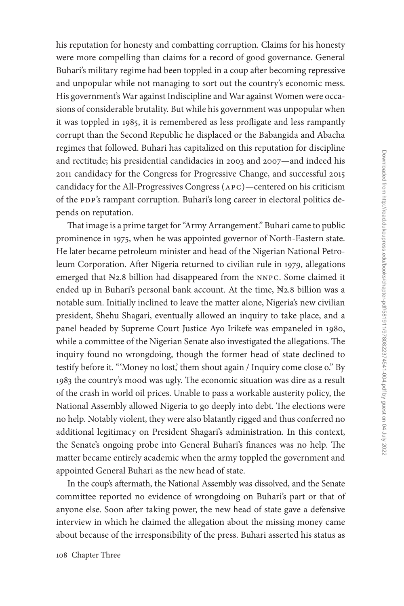his reputation for honesty and combatting corruption. Claims for his honesty were more compelling than claims for a record of good governance. General Buhari's military regime had been toppled in a coup after becoming repressive and unpopular while not managing to sort out the country's economic mess. His government's War against Indiscipline and War against Women were occasions of considerable brutality. But while his government was unpopular when it was toppled in 1985, it is remembered as less profligate and less rampantly corrupt than the Second Republic he displaced or the Babangida and Abacha regimes that followed. Buhari has capitalized on this reputation for discipline and rectitude; his presidential candidacies in 2003 and 2007—and indeed his 2011 candidacy for the Congress for Progressive Change, and successful 2015 candidacy for the All-Progressives Congress (apc)—centered on his criticism of the PDP's rampant corruption. Buhari's long career in electoral politics depends on reputation.

That image is a prime target for "Army Arrangement." Buhari came to public prominence in 1975, when he was appointed governor of North-Eastern state. He later became petroleum minister and head of the Nigerian National Petroleum Corporation. After Nigeria returned to civilian rule in 1979, allegations emerged that N2.8 billion had disappeared from the NNPC. Some claimed it ended up in Buhari's personal bank account. At the time,  $\mathbb{N}_2$ .8 billion was a notable sum. Initially inclined to leave the matter alone, Nigeria's new civilian president, Shehu Shagari, eventually allowed an inquiry to take place, and a panel headed by Supreme Court Justice Ayo Irikefe was empaneled in 1980, while a committee of the Nigerian Senate also investigated the allegations. The inquiry found no wrongdoing, though the former head of state declined to testify before it. "'Money no lost,' them shout again / Inquiry come close o." By 1983 the country's mood was ugly. The economic situation was dire as a result of the crash in world oil prices. Unable to pass a workable austerity policy, the National Assembly allowed Nigeria to go deeply into debt. The elections were no help. Notably violent, they were also blatantly rigged and thus conferred no additional legitimacy on President Shagari's administration. In this context, the Senate's ongoing probe into General Buhari's finances was no help. The matter became entirely academic when the army toppled the government and appointed General Buhari as the new head of state.

In the coup's aftermath, the National Assembly was dissolved, and the Senate committee reported no evidence of wrongdoing on Buhari's part or that of anyone else. Soon after taking power, the new head of state gave a defensive interview in which he claimed the allegation about the missing money came about because of the irresponsibility of the press. Buhari asserted his status as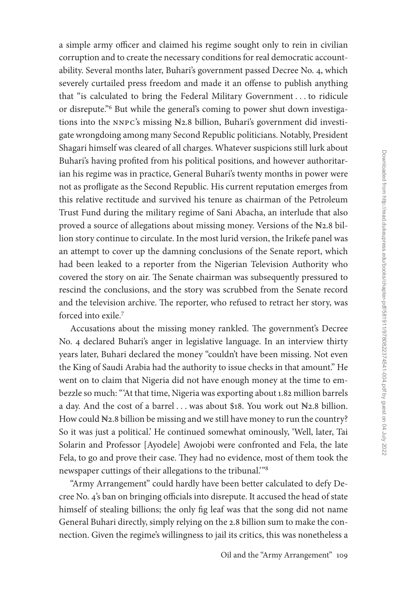a simple army officer and claimed his regime sought only to rein in civilian corruption and to create the necessary conditions for real democratic accountability. Several months later, Buhari's government passed Decree No. 4, which severely curtailed press freedom and made it an offense to publish anything that "is calculated to bring the Federal Military Government . . . to ridicule or disrepute.["6](#page--1-0) But while the general's coming to power shut down investigations into the nnpc's missing ₦2.8 billion, Buhari's government did investigate wrongdoing among many Second Republic politicians. Notably, President Shagari himself was cleared of all charges. Whatever suspicions still lurk about Buhari's having profited from his political positions, and however authoritarian his regime was in practice, General Buhari's twenty months in power were not as profligate as the Second Republic. His current reputation emerges from this relative rectitude and survived his tenure as chairman of the Petroleum Trust Fund during the military regime of Sani Abacha, an interlude that also proved a source of allegations about missing money. Versions of the  $\mathbb{N}_2$ .8 billion story continue to circulate. In the most lurid version, the Irikefe panel was an attempt to cover up the damning conclusions of the Senate report, which had been leaked to a reporter from the Nigerian Television Authority who covered the story on air. The Senate chairman was subsequently pressured to rescind the conclusions, and the story was scrubbed from the Senate record and the television archive. The reporter, who refused to retract her story, was forced into exile.<sup>[7](#page--1-0)</sup>

Accusations about the missing money rankled. The government's Decree No. 4 declared Buhari's anger in legislative language. In an interview thirty years later, Buhari declared the money "couldn't have been missing. Not even the King of Saudi Arabia had the authority to issue checks in that amount." He went on to claim that Nigeria did not have enough money at the time to embezzle so much: "'At that time, Nigeria was exporting about 1.82 million barrels a day. And the cost of a barrel . . . was about \$18. You work out N2.8 billion. How could N2.8 billion be missing and we still have money to run the country? So it was just a political.' He continued somewhat ominously, 'Well, later, Tai Solarin and Professor [Ayodele] Awojobi were confronted and Fela, the late Fela, to go and prove their case. They had no evidence, most of them took the newspaper cuttings of their allegations to the tribunal.'"[8](#page--1-0)

"Army Arrangement" could hardly have been better calculated to defy Decree No. 4's ban on bringing officials into disrepute. It accused the head of state himself of stealing billions; the only fig leaf was that the song did not name General Buhari directly, simply relying on the 2.8 billion sum to make the connection. Given the regime's willingness to jail its critics, this was nonetheless a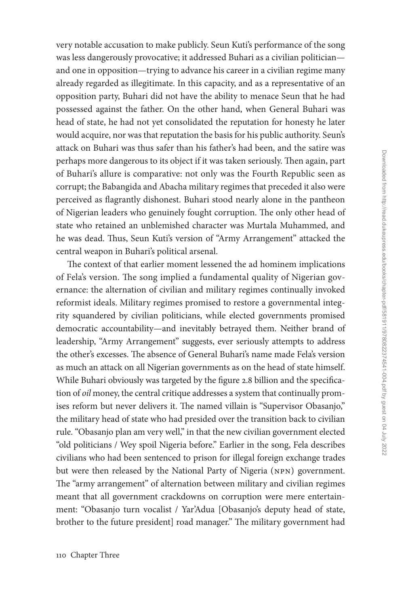very notable accusation to make publicly. Seun Kuti's performance of the song was less dangerously provocative; it addressed Buhari as a civilian politician and one in opposition—trying to advance his career in a civilian regime many already regarded as illegitimate. In this capacity, and as a representative of an opposition party, Buhari did not have the ability to menace Seun that he had possessed against the father. On the other hand, when General Buhari was head of state, he had not yet consolidated the reputation for honesty he later would acquire, nor was that reputation the basis for his public authority. Seun's attack on Buhari was thus safer than his father's had been, and the satire was perhaps more dangerous to its object if it was taken seriously. Then again, part of Buhari's allure is comparative: not only was the Fourth Republic seen as corrupt; the Babangida and Abacha military regimes that preceded it also were perceived as flagrantly dishonest. Buhari stood nearly alone in the pantheon of Nigerian leaders who genuinely fought corruption. The only other head of state who retained an unblemished character was Murtala Muhammed, and he was dead. Thus, Seun Kuti's version of "Army Arrangement" attacked the central weapon in Buhari's political arsenal.

The context of that earlier moment lessened the ad hominem implications of Fela's version. The song implied a fundamental quality of Nigerian governance: the alternation of civilian and military regimes continually invoked reformist ideals. Military regimes promised to restore a governmental integrity squandered by civilian politicians, while elected governments promised democratic accountability—and inevitably betrayed them. Neither brand of leadership, "Army Arrangement" suggests, ever seriously attempts to address the other's excesses. The absence of General Buhari's name made Fela's version as much an attack on all Nigerian governments as on the head of state himself. While Buhari obviously was targeted by the figure 2.8 billion and the specification of *oil* money, the central critique addresses a system that continually promises reform but never delivers it. The named villain is "Supervisor Obasanjo," the military head of state who had presided over the transition back to civilian rule. "Obasanjo plan am very well," in that the new civilian government elected "old politicians / Wey spoil Nigeria before." Earlier in the song, Fela describes civilians who had been sentenced to prison for illegal foreign exchange trades but were then released by the National Party of Nigeria (npn) government. The "army arrangement" of alternation between military and civilian regimes meant that all government crackdowns on corruption were mere entertainment: "Obasanjo turn vocalist / Yar'Adua [Obasanjo's deputy head of state, brother to the future president] road manager." The military government had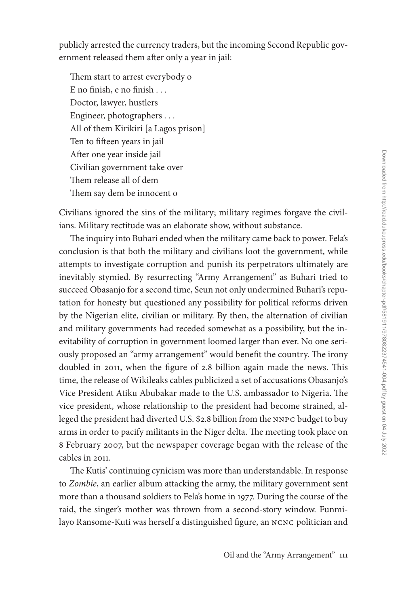publicly arrested the currency traders, but the incoming Second Republic government released them after only a year in jail:

Them start to arrest everybody o E no finish, e no finish . . . Doctor, lawyer, hustlers Engineer, photographers . . . All of them Kirikiri [a Lagos prison] Ten to fifteen years in jail After one year inside jail Civilian government take over Them release all of dem Them say dem be innocent o

Civilians ignored the sins of the military; military regimes forgave the civilians. Military rectitude was an elaborate show, without substance.

The inquiry into Buhari ended when the military came back to power. Fela's conclusion is that both the military and civilians loot the government, while attempts to investigate corruption and punish its perpetrators ultimately are inevitably stymied. By resurrecting "Army Arrangement" as Buhari tried to succeed Obasanjo for a second time, Seun not only undermined Buhari's reputation for honesty but questioned any possibility for political reforms driven by the Nigerian elite, civilian or military. By then, the alternation of civilian and military governments had receded somewhat as a possibility, but the inevitability of corruption in government loomed larger than ever. No one seriously proposed an "army arrangement" would benefit the country. The irony doubled in 2011, when the figure of 2.8 billion again made the news. This time, the release of Wikileaks cables publicized a set of accusations Obasanjo's Vice President Atiku Abubakar made to the U.S. ambassador to Nigeria. The vice president, whose relationship to the president had become strained, alleged the president had diverted U.S. \$2.8 billion from the nnpc budget to buy arms in order to pacify militants in the Niger delta. The meeting took place on 8 February 2007, but the newspaper coverage began with the release of the cables in 2011.

The Kutis' continuing cynicism was more than understandable. In response to *Zombie*, an earlier album attacking the army, the military government sent more than a thousand soldiers to Fela's home in 1977. During the course of the raid, the singer's mother was thrown from a second-story window. Funmilayo Ransome-Kuti was herself a distinguished figure, an ncnc politician and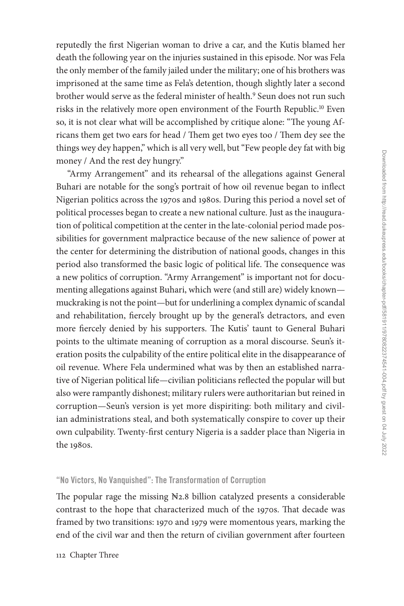reputedly the first Nigerian woman to drive a car, and the Kutis blamed her death the following year on the injuries sustained in this episode. Nor was Fela the only member of the family jailed under the military; one of his brothers was imprisoned at the same time as Fela's detention, though slightly later a second brother would serve as the federal minister of health.<sup>[9](#page--1-0)</sup> Seun does not run such risks in the relatively more open environment of the Fourth Republic.<sup>10</sup> Even so, it is not clear what will be accomplished by critique alone: "The young Africans them get two ears for head / Them get two eyes too / Them dey see the things wey dey happen," which is all very well, but "Few people dey fat with big money / And the rest dey hungry."

"Army Arrangement" and its rehearsal of the allegations against General Buhari are notable for the song's portrait of how oil revenue began to inflect Nigerian politics across the 1970s and 1980s. During this period a novel set of political processes began to create a new national culture. Just as the inauguration of political competition at the center in the late-colonial period made possibilities for government malpractice because of the new salience of power at the center for determining the distribution of national goods, changes in this period also transformed the basic logic of political life. The consequence was a new politics of corruption. "Army Arrangement" is important not for documenting allegations against Buhari, which were (and still are) widely known muckraking is not the point—but for underlining a complex dynamic of scandal and rehabilitation, fiercely brought up by the general's detractors, and even more fiercely denied by his supporters. The Kutis' taunt to General Buhari points to the ultimate meaning of corruption as a moral discourse. Seun's iteration posits the culpability of the entire political elite in the disappearance of oil revenue. Where Fela undermined what was by then an established narrative of Nigerian political life—civilian politicians reflected the popular will but also were rampantly dishonest; military rulers were authoritarian but reined in corruption—Seun's version is yet more dispiriting: both military and civilian administrations steal, and both systematically conspire to cover up their own culpability. Twenty-first century Nigeria is a sadder place than Nigeria in the 1980s.

#### "No Victors, No Vanquished": The Transformation of Corruption

The popular rage the missing N2.8 billion catalyzed presents a considerable contrast to the hope that characterized much of the 1970s. That decade was framed by two transitions: 1970 and 1979 were momentous years, marking the end of the civil war and then the return of civilian government after fourteen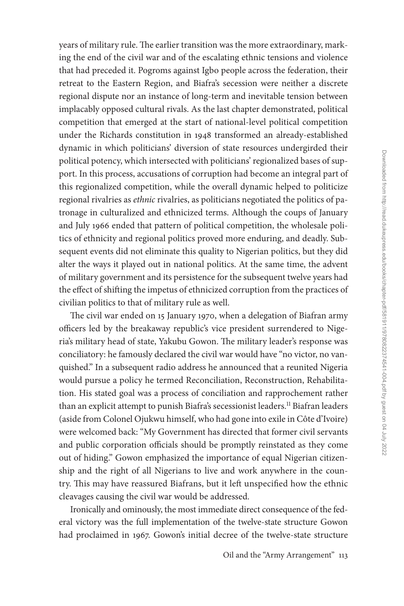years of military rule. The earlier transition was the more extraordinary, marking the end of the civil war and of the escalating ethnic tensions and violence that had preceded it. Pogroms against Igbo people across the federation, their retreat to the Eastern Region, and Biafra's secession were neither a discrete regional dispute nor an instance of long-term and inevitable tension between implacably opposed cultural rivals. As the last chapter demonstrated, political competition that emerged at the start of national-level political competition under the Richards constitution in 1948 transformed an already-established dynamic in which politicians' diversion of state resources undergirded their political potency, which intersected with politicians' regionalized bases of support. In this process, accusations of corruption had become an integral part of this regionalized competition, while the overall dynamic helped to politicize regional rivalries as *ethnic* rivalries, as politicians negotiated the politics of patronage in culturalized and ethnicized terms. Although the coups of January and July 1966 ended that pattern of political competition, the wholesale politics of ethnicity and regional politics proved more enduring, and deadly. Subsequent events did not eliminate this quality to Nigerian politics, but they did alter the ways it played out in national politics. At the same time, the advent of military government and its persistence for the subsequent twelve years had the effect of shifting the impetus of ethnicized corruption from the practices of civilian politics to that of military rule as well.

The civil war ended on 15 January 1970, when a delegation of Biafran army officers led by the breakaway republic's vice president surrendered to Nigeria's military head of state, Yakubu Gowon. The military leader's response was conciliatory: he famously declared the civil war would have "no victor, no vanquished." In a subsequent radio address he announced that a reunited Nigeria would pursue a policy he termed Reconciliation, Reconstruction, Rehabilitation. His stated goal was a process of conciliation and rapprochement rather than an explicit attempt to punish Biafra's secessionist leaders.<sup>11</sup> Biafran leaders (aside from Colonel Ojukwu himself, who had gone into exile in Côte d'Ivoire) were welcomed back: "My Government has directed that former civil servants and public corporation officials should be promptly reinstated as they come out of hiding." Gowon emphasized the importance of equal Nigerian citizenship and the right of all Nigerians to live and work anywhere in the country. This may have reassured Biafrans, but it left unspecified how the ethnic cleavages causing the civil war would be addressed.

Ironically and ominously, the most immediate direct consequence of the federal victory was the full implementation of the twelve-state structure Gowon had proclaimed in 1967. Gowon's initial decree of the twelve-state structure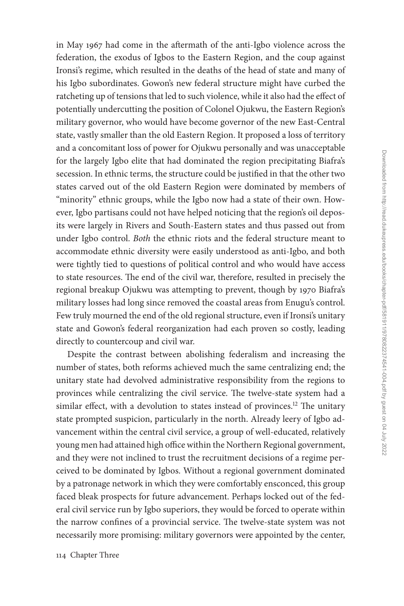in May 1967 had come in the aftermath of the anti-Igbo violence across the federation, the exodus of Igbos to the Eastern Region, and the coup against Ironsi's regime, which resulted in the deaths of the head of state and many of his Igbo subordinates. Gowon's new federal structure might have curbed the ratcheting up of tensions that led to such violence, while it also had the effect of potentially undercutting the position of Colonel Ojukwu, the Eastern Region's military governor, who would have become governor of the new East-Central state, vastly smaller than the old Eastern Region. It proposed a loss of territory and a concomitant loss of power for Ojukwu personally and was unacceptable for the largely Igbo elite that had dominated the region precipitating Biafra's secession. In ethnic terms, the structure could be justified in that the other two states carved out of the old Eastern Region were dominated by members of "minority" ethnic groups, while the Igbo now had a state of their own. However, Igbo partisans could not have helped noticing that the region's oil deposits were largely in Rivers and South-Eastern states and thus passed out from under Igbo control. *Both* the ethnic riots and the federal structure meant to accommodate ethnic diversity were easily understood as anti-Igbo, and both were tightly tied to questions of political control and who would have access to state resources. The end of the civil war, therefore, resulted in precisely the regional breakup Ojukwu was attempting to prevent, though by 1970 Biafra's military losses had long since removed the coastal areas from Enugu's control. Few truly mourned the end of the old regional structure, even if Ironsi's unitary state and Gowon's federal reorganization had each proven so costly, leading directly to countercoup and civil war.

Despite the contrast between abolishing federalism and increasing the number of states, both reforms achieved much the same centralizing end; the unitary state had devolved administrative responsibility from the regions to provinces while centralizing the civil service. The twelve-state system had a similar effect, with a devolution to states instead of provinces.<sup>12</sup> The unitary state prompted suspicion, particularly in the north. Already leery of Igbo advancement within the central civil service, a group of well-educated, relatively young men had attained high office within the Northern Regional government, and they were not inclined to trust the recruitment decisions of a regime perceived to be dominated by Igbos. Without a regional government dominated by a patronage network in which they were comfortably ensconced, this group faced bleak prospects for future advancement. Perhaps locked out of the federal civil service run by Igbo superiors, they would be forced to operate within the narrow confines of a provincial service. The twelve-state system was not necessarily more promising: military governors were appointed by the center,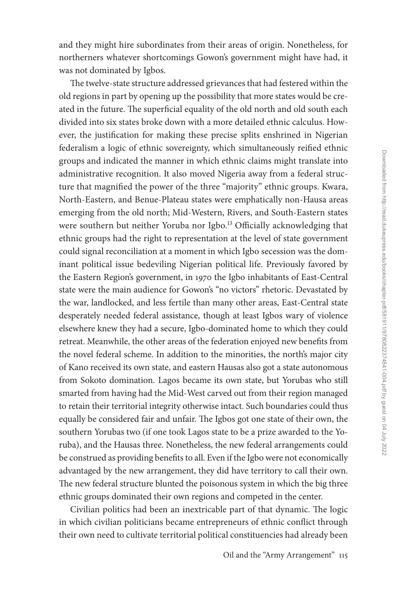and they might hire subordinates from their areas of origin. Nonetheless, for northerners whatever shortcomings Gowon's government might have had, it was not dominated by Igbos.

The twelve-state structure addressed grievances that had festered within the old regions in part by opening up the possibility that more states would be created in the future. The superficial equality of the old north and old south each divided into six states broke down with a more detailed ethnic calculus. However, the justification for making these precise splits enshrined in Nigerian federalism a logic of ethnic sovereignty, which simultaneously reified ethnic groups and indicated the manner in which ethnic claims might translate into administrative recognition. It also moved Nigeria away from a federal structure that magnified the power of the three "majority" ethnic groups. Kwara, North-Eastern, and Benue-Plateau states were emphatically non-Hausa areas emerging from the old north; Mid-Western, Rivers, and South-Eastern states were southern but neither Yoruba nor Igbo.<sup>13</sup> Officially acknowledging that ethnic groups had the right to representation at the level of state government could signal reconciliation at a moment in which Igbo secession was the dominant political issue bedeviling Nigerian political life. Previously favored by the Eastern Region's government, in 1970 the Igbo inhabitants of East-Central state were the main audience for Gowon's "no victors" rhetoric. Devastated by the war, landlocked, and less fertile than many other areas, East-Central state desperately needed federal assistance, though at least Igbos wary of violence elsewhere knew they had a secure, Igbo-dominated home to which they could retreat. Meanwhile, the other areas of the federation enjoyed new benefits from the novel federal scheme. In addition to the minorities, the north's major city of Kano received its own state, and eastern Hausas also got a state autonomous from Sokoto domination. Lagos became its own state, but Yorubas who still smarted from having had the Mid-West carved out from their region managed to retain their territorial integrity otherwise intact. Such boundaries could thus equally be considered fair and unfair. The Igbos got one state of their own, the southern Yorubas two (if one took Lagos state to be a prize awarded to the Yoruba), and the Hausas three. Nonetheless, the new federal arrangements could be construed as providing benefits to all. Even if the Igbo were not economically advantaged by the new arrangement, they did have territory to call their own. The new federal structure blunted the poisonous system in which the big three ethnic groups dominated their own regions and competed in the center.

Civilian politics had been an inextricable part of that dynamic. The logic in which civilian politicians became entrepreneurs of ethnic conflict through their own need to cultivate territorial political constituencies had already been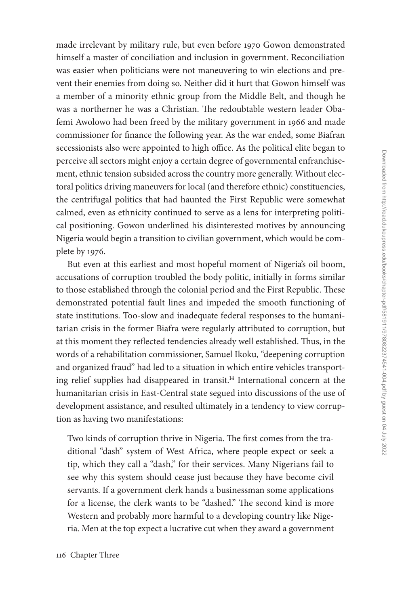made irrelevant by military rule, but even before 1970 Gowon demonstrated himself a master of conciliation and inclusion in government. Reconciliation was easier when politicians were not maneuvering to win elections and prevent their enemies from doing so. Neither did it hurt that Gowon himself was a member of a minority ethnic group from the Middle Belt, and though he was a northerner he was a Christian. The redoubtable western leader Obafemi Awolowo had been freed by the military government in 1966 and made commissioner for finance the following year. As the war ended, some Biafran secessionists also were appointed to high office. As the political elite began to perceive all sectors might enjoy a certain degree of governmental enfranchisement, ethnic tension subsided across the country more generally. Without electoral politics driving maneuvers for local (and therefore ethnic) constituencies, the centrifugal politics that had haunted the First Republic were somewhat calmed, even as ethnicity continued to serve as a lens for interpreting political positioning. Gowon underlined his disinterested motives by announcing Nigeria would begin a transition to civilian government, which would be complete by 1976.

But even at this earliest and most hopeful moment of Nigeria's oil boom, accusations of corruption troubled the body politic, initially in forms similar to those established through the colonial period and the First Republic. These demonstrated potential fault lines and impeded the smooth functioning of state institutions. Too-slow and inadequate federal responses to the humanitarian crisis in the former Biafra were regularly attributed to corruption, but at this moment they reflected tendencies already well established. Thus, in the words of a rehabilitation commissioner, Samuel Ikoku, "deepening corruption and organized fraud" had led to a situation in which entire vehicles transporting relief supplies had disappeared in transit.<sup>14</sup> International concern at the humanitarian crisis in East-Central state segued into discussions of the use of development assistance, and resulted ultimately in a tendency to view corruption as having two manifestations:

Two kinds of corruption thrive in Nigeria. The first comes from the traditional "dash" system of West Africa, where people expect or seek a tip, which they call a "dash," for their services. Many Nigerians fail to see why this system should cease just because they have become civil servants. If a government clerk hands a businessman some applications for a license, the clerk wants to be "dashed." The second kind is more Western and probably more harmful to a developing country like Nigeria. Men at the top expect a lucrative cut when they award a government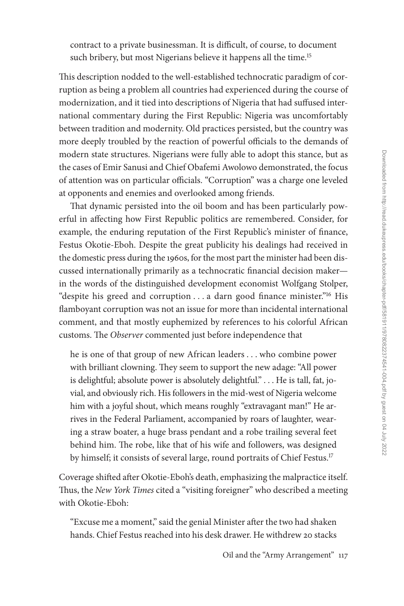contract to a private businessman. It is difficult, of course, to document such bribery, but most Nigerians believe it happens all the time.<sup>15</sup>

This description nodded to the well-established technocratic paradigm of corruption as being a problem all countries had experienced during the course of modernization, and it tied into descriptions of Nigeria that had suffused international commentary during the First Republic: Nigeria was uncomfortably between tradition and modernity. Old practices persisted, but the country was more deeply troubled by the reaction of powerful officials to the demands of modern state structures. Nigerians were fully able to adopt this stance, but as the cases of Emir Sanusi and Chief Obafemi Awolowo demonstrated, the focus of attention was on particular officials. "Corruption" was a charge one leveled at opponents and enemies and overlooked among friends.

That dynamic persisted into the oil boom and has been particularly powerful in affecting how First Republic politics are remembered. Consider, for example, the enduring reputation of the First Republic's minister of finance, Festus Okotie-Eboh. Despite the great publicity his dealings had received in the domestic press during the 1960s, for the most part the minister had been discussed internationally primarily as a technocratic financial decision maker in the words of the distinguished development economist Wolfgang Stolper, "despite his greed and corruption . . . a darn good finance minister."[16](#page--1-0) His flamboyant corruption was not an issue for more than incidental international comment, and that mostly euphemized by references to his colorful African customs. The *Observer* commented just before independence that

he is one of that group of new African leaders . . . who combine power with brilliant clowning. They seem to support the new adage: "All power is delightful; absolute power is absolutely delightful." . . . He is tall, fat, jovial, and obviously rich. His followers in the mid-west of Nigeria welcome him with a joyful shout, which means roughly "extravagant man!" He arrives in the Federal Parliament, accompanied by roars of laughter, wearing a straw boater, a huge brass pendant and a robe trailing several feet behind him. The robe, like that of his wife and followers, was designed by himself; it consists of several large, round portraits of Chief Festus.<sup>17</sup>

Coverage shifted after Okotie-Eboh's death, emphasizing the malpractice itself. Thus, the *New York Times* cited a "visiting foreigner" who described a meeting with Okotie-Eboh:

"Excuse me a moment," said the genial Minister after the two had shaken hands. Chief Festus reached into his desk drawer. He withdrew 20 stacks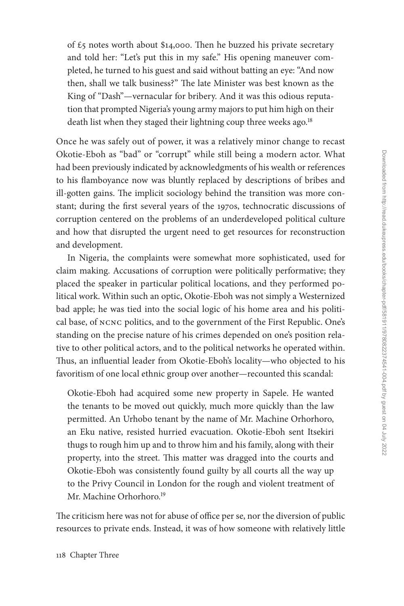of  $\epsilon$ <sub>5</sub> notes worth about \$14,000. Then he buzzed his private secretary and told her: "Let's put this in my safe." His opening maneuver completed, he turned to his guest and said without batting an eye: "And now then, shall we talk business?" The late Minister was best known as the King of "Dash"—vernacular for bribery. And it was this odious reputation that prompted Nigeria's young army majors to put him high on their death list when they staged their lightning coup three weeks ago.<sup>[18](#page--1-0)</sup>

Once he was safely out of power, it was a relatively minor change to recast Okotie-Eboh as "bad" or "corrupt" while still being a modern actor. What had been previously indicated by acknowledgments of his wealth or references to his flamboyance now was bluntly replaced by descriptions of bribes and ill-gotten gains. The implicit sociology behind the transition was more constant; during the first several years of the 1970s, technocratic discussions of corruption centered on the problems of an underdeveloped political culture and how that disrupted the urgent need to get resources for reconstruction and development.

In Nigeria, the complaints were somewhat more sophisticated, used for claim making. Accusations of corruption were politically performative; they placed the speaker in particular political locations, and they performed political work. Within such an optic, Okotie-Eboh was not simply a Westernized bad apple; he was tied into the social logic of his home area and his political base, of ncnc politics, and to the government of the First Republic. One's standing on the precise nature of his crimes depended on one's position relative to other political actors, and to the political networks he operated within. Thus, an influential leader from Okotie-Eboh's locality—who objected to his favoritism of one local ethnic group over another—recounted this scandal:

Okotie-Eboh had acquired some new property in Sapele. He wanted the tenants to be moved out quickly, much more quickly than the law permitted. An Urhobo tenant by the name of Mr. Machine Orhorhoro, an Eku native, resisted hurried evacuation. Okotie-Eboh sent Itsekiri thugs to rough him up and to throw him and his family, along with their property, into the street. This matter was dragged into the courts and Okotie-Eboh was consistently found guilty by all courts all the way up to the Privy Council in London for the rough and violent treatment of Mr. Machine Orhorhoro.<sup>[19](#page--1-0)</sup>

The criticism here was not for abuse of office per se, nor the diversion of public resources to private ends. Instead, it was of how someone with relatively little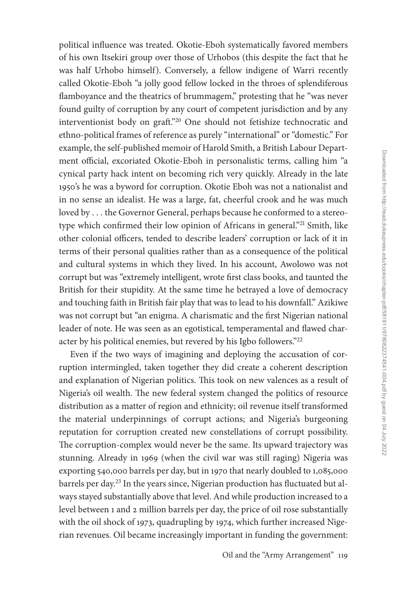political influence was treated. Okotie-Eboh systematically favored members of his own Itsekiri group over those of Urhobos (this despite the fact that he was half Urhobo himself). Conversely, a fellow indigene of Warri recently called Okotie-Eboh "a jolly good fellow locked in the throes of splendiferous flamboyance and the theatrics of brummagem," protesting that he "was never found guilty of corruption by any court of competent jurisdiction and by any interventionist body on graft.["20](#page--1-0) One should not fetishize technocratic and ethno-political frames of reference as purely "international" or "domestic." For example, the self-published memoir of Harold Smith, a British Labour Department official, excoriated Okotie-Eboh in personalistic terms, calling him "a cynical party hack intent on becoming rich very quickly. Already in the late 1950's he was a byword for corruption. Okotie Eboh was not a nationalist and in no sense an idealist. He was a large, fat, cheerful crook and he was much loved by . . . the Governor General, perhaps because he conformed to a stereotype which confirmed their low opinion of Africans in general."<sup>21</sup> Smith, like other colonial officers, tended to describe leaders' corruption or lack of it in terms of their personal qualities rather than as a consequence of the political and cultural systems in which they lived. In his account, Awolowo was not corrupt but was "extremely intelligent, wrote first class books, and taunted the British for their stupidity. At the same time he betrayed a love of democracy and touching faith in British fair play that was to lead to his downfall." Azikiwe was not corrupt but "an enigma. A charismatic and the first Nigerian national leader of note. He was seen as an egotistical, temperamental and flawed char-acter by his political enemies, but revered by his Igbo followers."<sup>[22](#page--1-0)</sup>

Even if the two ways of imagining and deploying the accusation of corruption intermingled, taken together they did create a coherent description and explanation of Nigerian politics. This took on new valences as a result of Nigeria's oil wealth. The new federal system changed the politics of resource distribution as a matter of region and ethnicity; oil revenue itself transformed the material underpinnings of corrupt actions; and Nigeria's burgeoning reputation for corruption created new constellations of corrupt possibility. The corruption-complex would never be the same. Its upward trajectory was stunning. Already in 1969 (when the civil war was still raging) Nigeria was exporting 540,000 barrels per day, but in 1970 that nearly doubled to 1,085,000 barrels per day.<sup>23</sup> In the years since, Nigerian production has fluctuated but always stayed substantially above that level. And while production increased to a level between 1 and 2 million barrels per day, the price of oil rose substantially with the oil shock of 1973, quadrupling by 1974, which further increased Nigerian revenues. Oil became increasingly important in funding the government: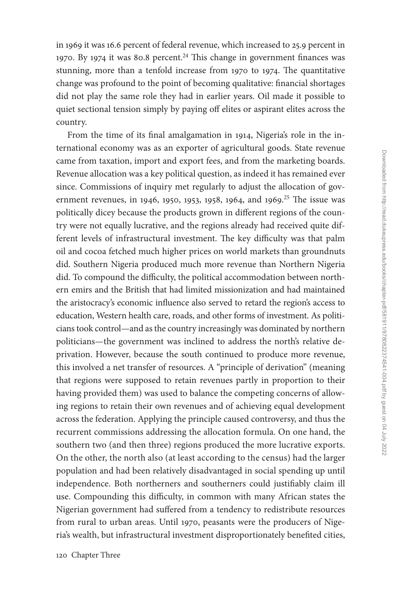in 1969 it was 16.6 percent of federal revenue, which increased to 25.9 percent in 1970. By 1974 it was 80.8 percent.<sup>24</sup> This change in government finances was stunning, more than a tenfold increase from 1970 to 1974. The quantitative change was profound to the point of becoming qualitative: financial shortages did not play the same role they had in earlier years. Oil made it possible to quiet sectional tension simply by paying off elites or aspirant elites across the country.

From the time of its final amalgamation in 1914, Nigeria's role in the international economy was as an exporter of agricultural goods. State revenue came from taxation, import and export fees, and from the marketing boards. Revenue allocation was a key political question, as indeed it has remained ever since. Commissions of inquiry met regularly to adjust the allocation of government revenues, in 1946, 1950, 1953, 1958, 1964, and 1969.<sup>25</sup> The issue was politically dicey because the products grown in different regions of the country were not equally lucrative, and the regions already had received quite different levels of infrastructural investment. The key difficulty was that palm oil and cocoa fetched much higher prices on world markets than groundnuts did. Southern Nigeria produced much more revenue than Northern Nigeria did. To compound the difficulty, the political accommodation between northern emirs and the British that had limited missionization and had maintained the aristocracy's economic influence also served to retard the region's access to education, Western health care, roads, and other forms of investment. As politicians took control—and as the country increasingly was dominated by northern politicians—the government was inclined to address the north's relative deprivation. However, because the south continued to produce more revenue, this involved a net transfer of resources. A "principle of derivation" (meaning that regions were supposed to retain revenues partly in proportion to their having provided them) was used to balance the competing concerns of allowing regions to retain their own revenues and of achieving equal development across the federation. Applying the principle caused controversy, and thus the recurrent commissions addressing the allocation formula. On one hand, the southern two (and then three) regions produced the more lucrative exports. On the other, the north also (at least according to the census) had the larger population and had been relatively disadvantaged in social spending up until independence. Both northerners and southerners could justifiably claim ill use. Compounding this difficulty, in common with many African states the Nigerian government had suffered from a tendency to redistribute resources from rural to urban areas. Until 1970, peasants were the producers of Nigeria's wealth, but infrastructural investment disproportionately benefited cities,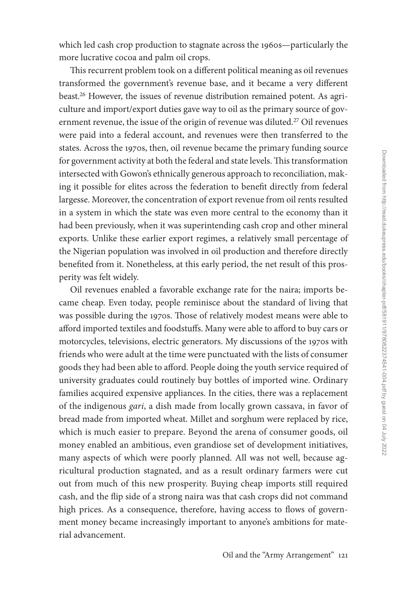which led cash crop production to stagnate across the 1960s—particularly the more lucrative cocoa and palm oil crops.

This recurrent problem took on a different political meaning as oil revenues transformed the government's revenue base, and it became a very different beast.<sup>26</sup> However, the issues of revenue distribution remained potent. As agriculture and import/export duties gave way to oil as the primary source of government revenue, the issue of the origin of revenue was diluted.<sup>27</sup> Oil revenues were paid into a federal account, and revenues were then transferred to the states. Across the 1970s, then, oil revenue became the primary funding source for government activity at both the federal and state levels. This transformation intersected with Gowon's ethnically generous approach to reconciliation, making it possible for elites across the federation to benefit directly from federal largesse. Moreover, the concentration of export revenue from oil rents resulted in a system in which the state was even more central to the economy than it had been previously, when it was superintending cash crop and other mineral exports. Unlike these earlier export regimes, a relatively small percentage of the Nigerian population was involved in oil production and therefore directly benefited from it. Nonetheless, at this early period, the net result of this prosperity was felt widely.

Oil revenues enabled a favorable exchange rate for the naira; imports became cheap. Even today, people reminisce about the standard of living that was possible during the 1970s. Those of relatively modest means were able to afford imported textiles and foodstuffs. Many were able to afford to buy cars or motorcycles, televisions, electric generators. My discussions of the 1970s with friends who were adult at the time were punctuated with the lists of consumer goods they had been able to afford. People doing the youth service required of university graduates could routinely buy bottles of imported wine. Ordinary families acquired expensive appliances. In the cities, there was a replacement of the indigenous *gari*, a dish made from locally grown cassava, in favor of bread made from imported wheat. Millet and sorghum were replaced by rice, which is much easier to prepare. Beyond the arena of consumer goods, oil money enabled an ambitious, even grandiose set of development initiatives, many aspects of which were poorly planned. All was not well, because agricultural production stagnated, and as a result ordinary farmers were cut out from much of this new prosperity. Buying cheap imports still required cash, and the flip side of a strong naira was that cash crops did not command high prices. As a consequence, therefore, having access to flows of government money became increasingly important to anyone's ambitions for material advancement.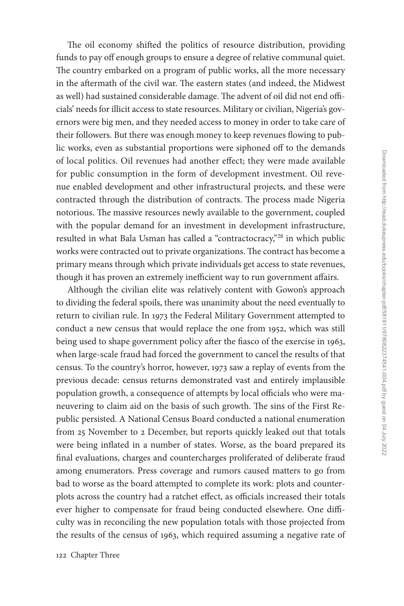The oil economy shifted the politics of resource distribution, providing funds to pay off enough groups to ensure a degree of relative communal quiet. The country embarked on a program of public works, all the more necessary in the aftermath of the civil war. The eastern states (and indeed, the Midwest as well) had sustained considerable damage. The advent of oil did not end officials' needs for illicit access to state resources. Military or civilian, Nigeria's governors were big men, and they needed access to money in order to take care of their followers. But there was enough money to keep revenues flowing to public works, even as substantial proportions were siphoned off to the demands of local politics. Oil revenues had another effect; they were made available for public consumption in the form of development investment. Oil revenue enabled development and other infrastructural projects, and these were contracted through the distribution of contracts. The process made Nigeria notorious. The massive resources newly available to the government, coupled with the popular demand for an investment in development infrastructure, resulted in what Bala Usman has called a "contractocracy,"<sup>28</sup> in which public works were contracted out to private organizations. The contract has become a primary means through which private individuals get access to state revenues, though it has proven an extremely inefficient way to run government affairs.

Although the civilian elite was relatively content with Gowon's approach to dividing the federal spoils, there was unanimity about the need eventually to return to civilian rule. In 1973 the Federal Military Government attempted to conduct a new census that would replace the one from 1952, which was still being used to shape government policy after the fiasco of the exercise in 1963, when large-scale fraud had forced the government to cancel the results of that census. To the country's horror, however, 1973 saw a replay of events from the previous decade: census returns demonstrated vast and entirely implausible population growth, a consequence of attempts by local officials who were maneuvering to claim aid on the basis of such growth. The sins of the First Republic persisted. A National Census Board conducted a national enumeration from 25 November to 2 December, but reports quickly leaked out that totals were being inflated in a number of states. Worse, as the board prepared its final evaluations, charges and countercharges proliferated of deliberate fraud among enumerators. Press coverage and rumors caused matters to go from bad to worse as the board attempted to complete its work: plots and counterplots across the country had a ratchet effect, as officials increased their totals ever higher to compensate for fraud being conducted elsewhere. One difficulty was in reconciling the new population totals with those projected from the results of the census of 1963, which required assuming a negative rate of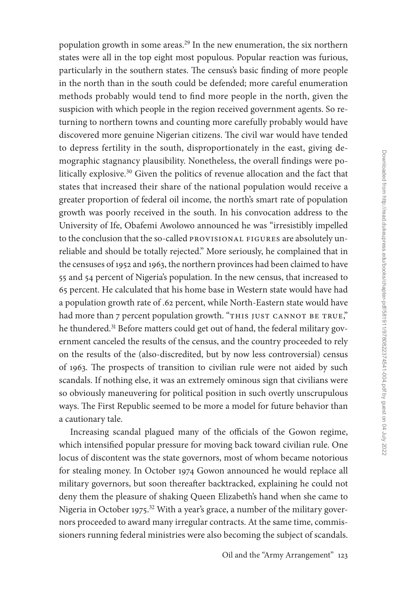population growth in some areas.<sup>29</sup> In the new enumeration, the six northern states were all in the top eight most populous. Popular reaction was furious, particularly in the southern states. The census's basic finding of more people in the north than in the south could be defended; more careful enumeration methods probably would tend to find more people in the north, given the suspicion with which people in the region received government agents. So returning to northern towns and counting more carefully probably would have discovered more genuine Nigerian citizens. The civil war would have tended to depress fertility in the south, disproportionately in the east, giving demographic stagnancy plausibility. Nonetheless, the overall findings were politically explosive.[30](#page--1-0) Given the politics of revenue allocation and the fact that states that increased their share of the national population would receive a greater proportion of federal oil income, the north's smart rate of population growth was poorly received in the south. In his convocation address to the University of Ife, Obafemi Awolowo announced he was "irresistibly impelled to the conclusion that the so-called PROVISIONAL FIGURES are absolutely unreliable and should be totally rejected." More seriously, he complained that in the censuses of 1952 and 1963, the northern provinces had been claimed to have 55 and 54 percent of Nigeria's population. In the new census, that increased to 65 percent. He calculated that his home base in Western state would have had a population growth rate of .62 percent, while North-Eastern state would have had more than 7 percent population growth. "THIS JUST CANNOT BE TRUE," he thundered.<sup>31</sup> Before matters could get out of hand, the federal military government canceled the results of the census, and the country proceeded to rely on the results of the (also-discredited, but by now less controversial) census of 1963. The prospects of transition to civilian rule were not aided by such scandals. If nothing else, it was an extremely ominous sign that civilians were so obviously maneuvering for political position in such overtly unscrupulous ways. The First Republic seemed to be more a model for future behavior than a cautionary tale. Increasing scandal plagued many of the officials of the Gowon regime,

which intensified popular pressure for moving back toward civilian rule. One locus of discontent was the state governors, most of whom became notorious for stealing money. In October 1974 Gowon announced he would replace all military governors, but soon thereafter backtracked, explaining he could not deny them the pleasure of shaking Queen Elizabeth's hand when she came to Nigeria in October 1975.<sup>32</sup> With a year's grace, a number of the military governors proceeded to award many irregular contracts. At the same time, commissioners running federal ministries were also becoming the subject of scandals.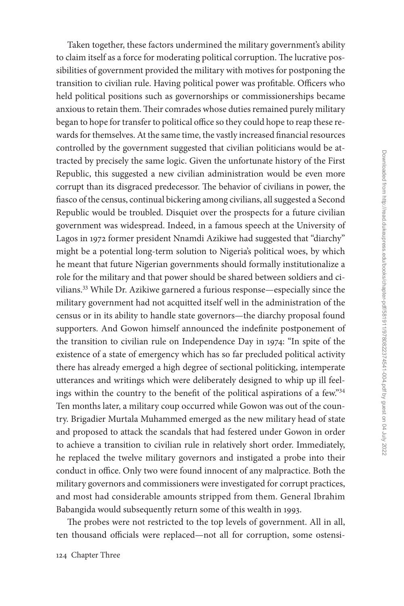Taken together, these factors undermined the military government's ability to claim itself as a force for moderating political corruption. The lucrative possibilities of government provided the military with motives for postponing the transition to civilian rule. Having political power was profitable. Officers who held political positions such as governorships or commissionerships became anxious to retain them. Their comrades whose duties remained purely military began to hope for transfer to political office so they could hope to reap these rewards for themselves. At the same time, the vastly increased financial resources controlled by the government suggested that civilian politicians would be attracted by precisely the same logic. Given the unfortunate history of the First Republic, this suggested a new civilian administration would be even more corrupt than its disgraced predecessor. The behavior of civilians in power, the fiasco of the census, continual bickering among civilians, all suggested a Second Republic would be troubled. Disquiet over the prospects for a future civilian government was widespread. Indeed, in a famous speech at the University of Lagos in 1972 former president Nnamdi Azikiwe had suggested that "diarchy" might be a potential long-term solution to Nigeria's political woes, by which he meant that future Nigerian governments should formally institutionalize a role for the military and that power should be shared between soldiers and civilians[.33](#page--1-0) While Dr. Azikiwe garnered a furious response—especially since the military government had not acquitted itself well in the administration of the census or in its ability to handle state governors—the diarchy proposal found supporters. And Gowon himself announced the indefinite postponement of the transition to civilian rule on Independence Day in 1974: "In spite of the existence of a state of emergency which has so far precluded political activity there has already emerged a high degree of sectional politicking, intemperate utterances and writings which were deliberately designed to whip up ill feelings within the country to the benefit of the political aspirations of a few."[34](#page--1-0) Ten months later, a military coup occurred while Gowon was out of the country. Brigadier Murtala Muhammed emerged as the new military head of state and proposed to attack the scandals that had festered under Gowon in order to achieve a transition to civilian rule in relatively short order. Immediately, he replaced the twelve military governors and instigated a probe into their conduct in office. Only two were found innocent of any malpractice. Both the military governors and commissioners were investigated for corrupt practices, and most had considerable amounts stripped from them. General Ibrahim Babangida would subsequently return some of this wealth in 1993.

The probes were not restricted to the top levels of government. All in all, ten thousand officials were replaced—not all for corruption, some ostensi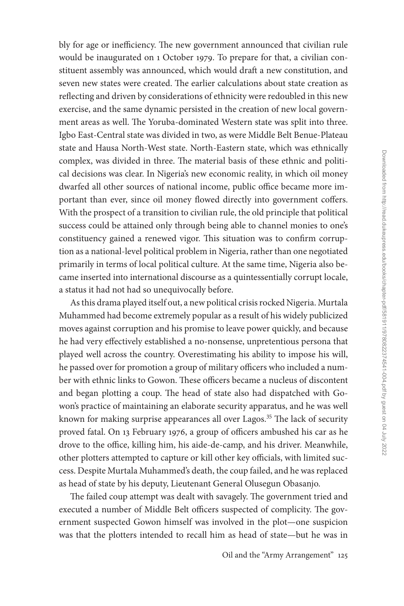bly for age or inefficiency. The new government announced that civilian rule would be inaugurated on 1 October 1979. To prepare for that, a civilian constituent assembly was announced, which would draft a new constitution, and seven new states were created. The earlier calculations about state creation as reflecting and driven by considerations of ethnicity were redoubled in this new exercise, and the same dynamic persisted in the creation of new local government areas as well. The Yoruba-dominated Western state was split into three. Igbo East-Central state was divided in two, as were Middle Belt Benue-Plateau state and Hausa North-West state. North-Eastern state, which was ethnically complex, was divided in three. The material basis of these ethnic and political decisions was clear. In Nigeria's new economic reality, in which oil money dwarfed all other sources of national income, public office became more important than ever, since oil money flowed directly into government coffers. With the prospect of a transition to civilian rule, the old principle that political success could be attained only through being able to channel monies to one's constituency gained a renewed vigor. This situation was to confirm corruption as a national-level political problem in Nigeria, rather than one negotiated primarily in terms of local political culture. At the same time, Nigeria also became inserted into international discourse as a quintessentially corrupt locale, a status it had not had so unequivocally before.

As this drama played itself out, a new political crisis rocked Nigeria. Murtala Muhammed had become extremely popular as a result of his widely publicized moves against corruption and his promise to leave power quickly, and because he had very effectively established a no-nonsense, unpretentious persona that played well across the country. Overestimating his ability to impose his will, he passed over for promotion a group of military officers who included a number with ethnic links to Gowon. These officers became a nucleus of discontent and began plotting a coup. The head of state also had dispatched with Gowon's practice of maintaining an elaborate security apparatus, and he was well known for making surprise appearances all over Lagos.<sup>35</sup> The lack of security proved fatal. On 13 February 1976, a group of officers ambushed his car as he drove to the office, killing him, his aide-de-camp, and his driver. Meanwhile, other plotters attempted to capture or kill other key officials, with limited success. Despite Murtala Muhammed's death, the coup failed, and he was replaced as head of state by his deputy, Lieutenant General Olusegun Obasanjo.

The failed coup attempt was dealt with savagely. The government tried and executed a number of Middle Belt officers suspected of complicity. The government suspected Gowon himself was involved in the plot—one suspicion was that the plotters intended to recall him as head of state—but he was in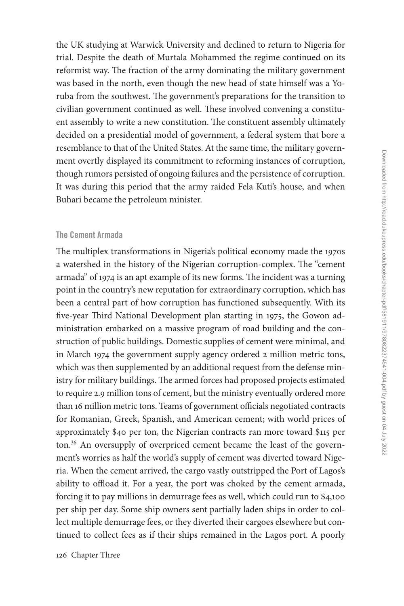the UK studying at Warwick University and declined to return to Nigeria for trial. Despite the death of Murtala Mohammed the regime continued on its reformist way. The fraction of the army dominating the military government was based in the north, even though the new head of state himself was a Yoruba from the southwest. The government's preparations for the transition to civilian government continued as well. These involved convening a constituent assembly to write a new constitution. The constituent assembly ultimately decided on a presidential model of government, a federal system that bore a resemblance to that of the United States. At the same time, the military government overtly displayed its commitment to reforming instances of corruption, though rumors persisted of ongoing failures and the persistence of corruption. It was during this period that the army raided Fela Kuti's house, and when Buhari became the petroleum minister.

#### The Cement Armada

The multiplex transformations in Nigeria's political economy made the 1970s a watershed in the history of the Nigerian corruption-complex. The "cement armada" of 1974 is an apt example of its new forms. The incident was a turning point in the country's new reputation for extraordinary corruption, which has been a central part of how corruption has functioned subsequently. With its five-year Third National Development plan starting in 1975, the Gowon administration embarked on a massive program of road building and the construction of public buildings. Domestic supplies of cement were minimal, and in March 1974 the government supply agency ordered 2 million metric tons, which was then supplemented by an additional request from the defense ministry for military buildings. The armed forces had proposed projects estimated to require 2.9 million tons of cement, but the ministry eventually ordered more than 16 million metric tons. Teams of government officials negotiated contracts for Romanian, Greek, Spanish, and American cement; with world prices of approximately \$40 per ton, the Nigerian contracts ran more toward \$115 per ton.[36](#page--1-0) An oversupply of overpriced cement became the least of the government's worries as half the world's supply of cement was diverted toward Nigeria. When the cement arrived, the cargo vastly outstripped the Port of Lagos's ability to offload it. For a year, the port was choked by the cement armada, forcing it to pay millions in demurrage fees as well, which could run to \$4,100 per ship per day. Some ship owners sent partially laden ships in order to collect multiple demurrage fees, or they diverted their cargoes elsewhere but continued to collect fees as if their ships remained in the Lagos port. A poorly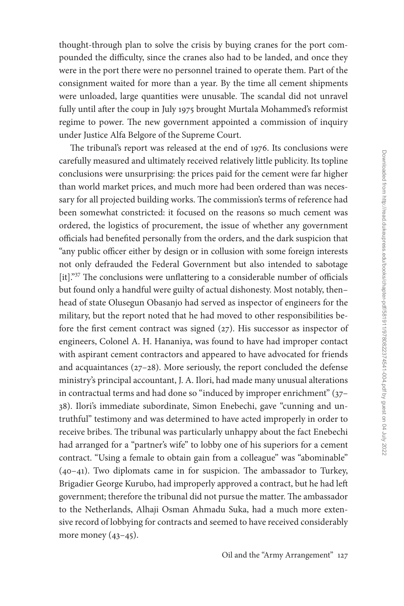thought-through plan to solve the crisis by buying cranes for the port compounded the difficulty, since the cranes also had to be landed, and once they were in the port there were no personnel trained to operate them. Part of the consignment waited for more than a year. By the time all cement shipments were unloaded, large quantities were unusable. The scandal did not unravel fully until after the coup in July 1975 brought Murtala Mohammed's reformist regime to power. The new government appointed a commission of inquiry under Justice Alfa Belgore of the Supreme Court.

The tribunal's report was released at the end of 1976. Its conclusions were carefully measured and ultimately received relatively little publicity. Its topline conclusions were unsurprising: the prices paid for the cement were far higher than world market prices, and much more had been ordered than was necessary for all projected building works. The commission's terms of reference had been somewhat constricted: it focused on the reasons so much cement was ordered, the logistics of procurement, the issue of whether any government officials had benefited personally from the orders, and the dark suspicion that "any public officer either by design or in collusion with some foreign interests not only defrauded the Federal Government but also intended to sabotage [it]."<sup>37</sup> The conclusions were unflattering to a considerable number of officials but found only a handful were guilty of actual dishonesty. Most notably, then– head of state Olusegun Obasanjo had served as inspector of engineers for the military, but the report noted that he had moved to other responsibilities before the first cement contract was signed (27). His successor as inspector of engineers, Colonel A. H. Hananiya, was found to have had improper contact with aspirant cement contractors and appeared to have advocated for friends and acquaintances (27–28). More seriously, the report concluded the defense ministry's principal accountant, J. A. Ilori, had made many unusual alterations in contractual terms and had done so "induced by improper enrichment" (37– 38). Ilori's immediate subordinate, Simon Enebechi, gave "cunning and untruthful" testimony and was determined to have acted improperly in order to receive bribes. The tribunal was particularly unhappy about the fact Enebechi had arranged for a "partner's wife" to lobby one of his superiors for a cement contract. "Using a female to obtain gain from a colleague" was "abominable" (40–41). Two diplomats came in for suspicion. The ambassador to Turkey, Brigadier George Kurubo, had improperly approved a contract, but he had left government; therefore the tribunal did not pursue the matter. The ambassador to the Netherlands, Alhaji Osman Ahmadu Suka, had a much more extensive record of lobbying for contracts and seemed to have received considerably more money  $(43-45)$ .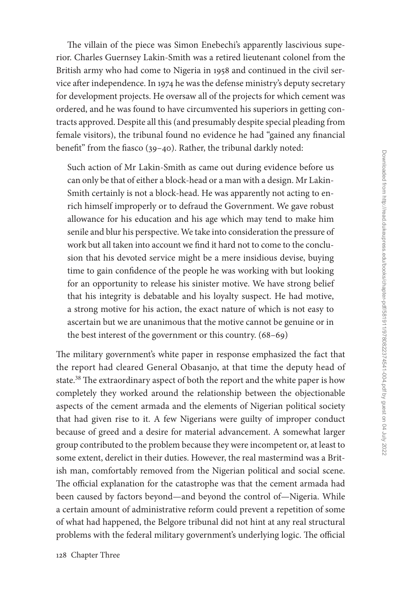The villain of the piece was Simon Enebechi's apparently lascivious superior. Charles Guernsey Lakin-Smith was a retired lieutenant colonel from the British army who had come to Nigeria in 1958 and continued in the civil service after independence. In 1974 he was the defense ministry's deputy secretary for development projects. He oversaw all of the projects for which cement was ordered, and he was found to have circumvented his superiors in getting contracts approved. Despite all this (and presumably despite special pleading from female visitors), the tribunal found no evidence he had "gained any financial benefit" from the fiasco (39–40). Rather, the tribunal darkly noted:

Such action of Mr Lakin-Smith as came out during evidence before us can only be that of either a block-head or a man with a design. Mr Lakin-Smith certainly is not a block-head. He was apparently not acting to enrich himself improperly or to defraud the Government. We gave robust allowance for his education and his age which may tend to make him senile and blur his perspective. We take into consideration the pressure of work but all taken into account we find it hard not to come to the conclusion that his devoted service might be a mere insidious devise, buying time to gain confidence of the people he was working with but looking for an opportunity to release his sinister motive. We have strong belief that his integrity is debatable and his loyalty suspect. He had motive, a strong motive for his action, the exact nature of which is not easy to ascertain but we are unanimous that the motive cannot be genuine or in the best interest of the government or this country. (68–69)

The military government's white paper in response emphasized the fact that the report had cleared General Obasanjo, at that time the deputy head of state.<sup>38</sup> The extraordinary aspect of both the report and the white paper is how completely they worked around the relationship between the objectionable aspects of the cement armada and the elements of Nigerian political society that had given rise to it. A few Nigerians were guilty of improper conduct because of greed and a desire for material advancement. A somewhat larger group contributed to the problem because they were incompetent or, at least to some extent, derelict in their duties. However, the real mastermind was a British man, comfortably removed from the Nigerian political and social scene. The official explanation for the catastrophe was that the cement armada had been caused by factors beyond—and beyond the control of—Nigeria. While a certain amount of administrative reform could prevent a repetition of some of what had happened, the Belgore tribunal did not hint at any real structural problems with the federal military government's underlying logic. The official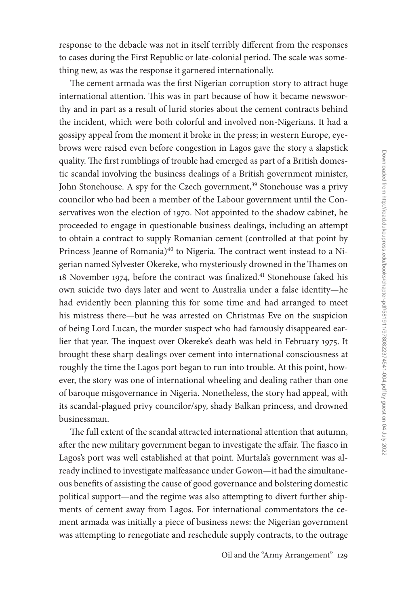response to the debacle was not in itself terribly different from the responses to cases during the First Republic or late-colonial period. The scale was something new, as was the response it garnered internationally.

The cement armada was the first Nigerian corruption story to attract huge international attention. This was in part because of how it became newsworthy and in part as a result of lurid stories about the cement contracts behind the incident, which were both colorful and involved non-Nigerians. It had a gossipy appeal from the moment it broke in the press; in western Europe, eyebrows were raised even before congestion in Lagos gave the story a slapstick quality. The first rumblings of trouble had emerged as part of a British domestic scandal involving the business dealings of a British government minister, John Stonehouse. A spy for the Czech government,<sup>[39](#page--1-0)</sup> Stonehouse was a privy councilor who had been a member of the Labour government until the Conservatives won the election of 1970. Not appointed to the shadow cabinet, he proceeded to engage in questionable business dealings, including an attempt to obtain a contract to supply Romanian cement (controlled at that point by Princess Jeanne of Romania)<sup>[40](#page--1-0)</sup> to Nigeria. The contract went instead to a Nigerian named Sylvester Okereke, who mysteriously drowned in the Thames on 18 November 1974, before the contract was finalized.<sup>41</sup> Stonehouse faked his own suicide two days later and went to Australia under a false identity—he had evidently been planning this for some time and had arranged to meet his mistress there—but he was arrested on Christmas Eve on the suspicion of being Lord Lucan, the murder suspect who had famously disappeared earlier that year. The inquest over Okereke's death was held in February 1975. It brought these sharp dealings over cement into international consciousness at roughly the time the Lagos port began to run into trouble. At this point, however, the story was one of international wheeling and dealing rather than one of baroque misgovernance in Nigeria. Nonetheless, the story had appeal, with its scandal-plagued privy councilor/spy, shady Balkan princess, and drowned businessman.

The full extent of the scandal attracted international attention that autumn, after the new military government began to investigate the affair. The fiasco in Lagos's port was well established at that point. Murtala's government was already inclined to investigate malfeasance under Gowon—it had the simultaneous benefits of assisting the cause of good governance and bolstering domestic political support—and the regime was also attempting to divert further shipments of cement away from Lagos. For international commentators the cement armada was initially a piece of business news: the Nigerian government was attempting to renegotiate and reschedule supply contracts, to the outrage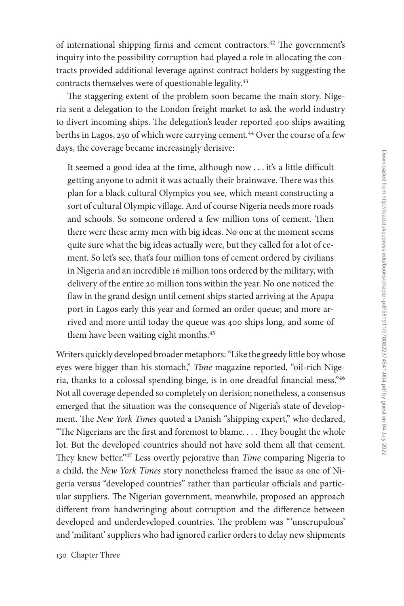of international shipping firms and cement contractors.[42](#page--1-0) The government's inquiry into the possibility corruption had played a role in allocating the contracts provided additional leverage against contract holders by suggesting the contracts themselves were of questionable legality[.43](#page--1-0)

The staggering extent of the problem soon became the main story. Nigeria sent a delegation to the London freight market to ask the world industry to divert incoming ships. The delegation's leader reported 400 ships awaiting berths in Lagos, 250 of which were carrying cement.<sup>44</sup> Over the course of a few days, the coverage became increasingly derisive:

It seemed a good idea at the time, although now . . . it's a little difficult getting anyone to admit it was actually their brainwave. There was this plan for a black cultural Olympics you see, which meant constructing a sort of cultural Olympic village. And of course Nigeria needs more roads and schools. So someone ordered a few million tons of cement. Then there were these army men with big ideas. No one at the moment seems quite sure what the big ideas actually were, but they called for a lot of cement. So let's see, that's four million tons of cement ordered by civilians in Nigeria and an incredible 16 million tons ordered by the military, with delivery of the entire 20 million tons within the year. No one noticed the flaw in the grand design until cement ships started arriving at the Apapa port in Lagos early this year and formed an order queue; and more arrived and more until today the queue was 400 ships long, and some of them have been waiting eight months.<sup>[45](#page--1-0)</sup>

Writers quickly developed broader metaphors: "Like the greedy little boy whose eyes were bigger than his stomach," *Time* magazine reported, "oil-rich Nigeria, thanks to a colossal spending binge, is in one dreadful financial mess.["46](#page--1-0) Not all coverage depended so completely on derision; nonetheless, a consensus emerged that the situation was the consequence of Nigeria's state of development. The *New York Times* quoted a Danish "shipping expert," who declared, "The Nigerians are the first and foremost to blame. . . . They bought the whole lot. But the developed countries should not have sold them all that cement. They knew better."[47](#page--1-0) Less overtly pejorative than *Time* comparing Nigeria to a child, the *New York Times* story nonetheless framed the issue as one of Nigeria versus "developed countries" rather than particular officials and particular suppliers. The Nigerian government, meanwhile, proposed an approach different from handwringing about corruption and the difference between developed and underdeveloped countries. The problem was "'unscrupulous' and 'militant' suppliers who had ignored earlier orders to delay new shipments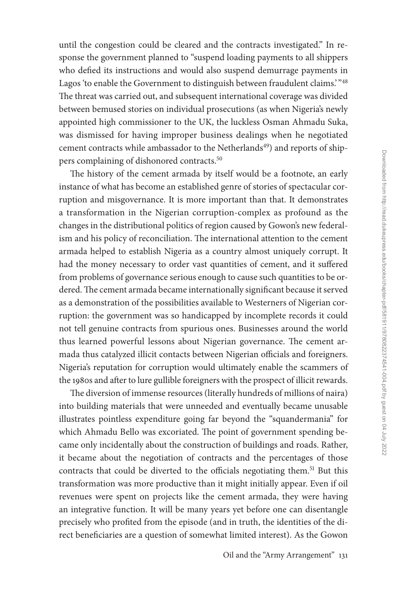until the congestion could be cleared and the contracts investigated." In response the government planned to "suspend loading payments to all shippers who defied its instructions and would also suspend demurrage payments in Lagos 'to enable the Government to distinguish between fraudulent claims.'"<sup>[48](#page--1-0)</sup> The threat was carried out, and subsequent international coverage was divided between bemused stories on individual prosecutions (as when Nigeria's newly appointed high commissioner to the UK, the luckless Osman Ahmadu Suka, was dismissed for having improper business dealings when he negotiated cement contracts while ambassador to the Netherlands<sup>49</sup>) and reports of shippers complaining of dishonored contracts[.50](#page--1-0)

The history of the cement armada by itself would be a footnote, an early instance of what has become an established genre of stories of spectacular corruption and misgovernance. It is more important than that. It demonstrates a transformation in the Nigerian corruption-complex as profound as the changes in the distributional politics of region caused by Gowon's new federalism and his policy of reconciliation. The international attention to the cement armada helped to establish Nigeria as a country almost uniquely corrupt. It had the money necessary to order vast quantities of cement, and it suffered from problems of governance serious enough to cause such quantities to be ordered. The cement armada became internationally significant because it served as a demonstration of the possibilities available to Westerners of Nigerian corruption: the government was so handicapped by incomplete records it could not tell genuine contracts from spurious ones. Businesses around the world thus learned powerful lessons about Nigerian governance. The cement armada thus catalyzed illicit contacts between Nigerian officials and foreigners. Nigeria's reputation for corruption would ultimately enable the scammers of the 1980s and after to lure gullible foreigners with the prospect of illicit rewards.

The diversion of immense resources (literally hundreds of millions of naira) into building materials that were unneeded and eventually became unusable illustrates pointless expenditure going far beyond the "squandermania" for which Ahmadu Bello was excoriated. The point of government spending became only incidentally about the construction of buildings and roads. Rather, it became about the negotiation of contracts and the percentages of those contracts that could be diverted to the officials negotiating them.<sup>51</sup> But this transformation was more productive than it might initially appear. Even if oil revenues were spent on projects like the cement armada, they were having an integrative function. It will be many years yet before one can disentangle precisely who profited from the episode (and in truth, the identities of the direct beneficiaries are a question of somewhat limited interest). As the Gowon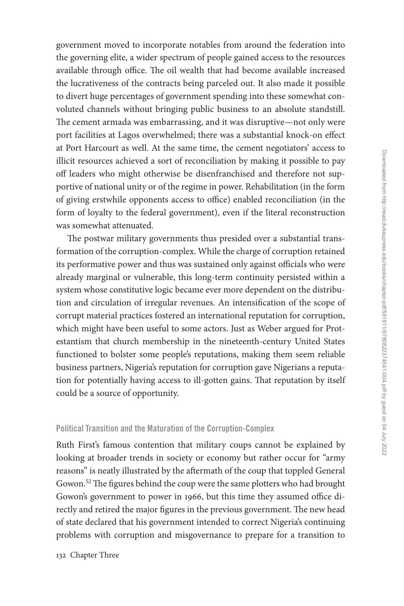government moved to incorporate notables from around the federation into the governing elite, a wider spectrum of people gained access to the resources available through office. The oil wealth that had become available increased the lucrativeness of the contracts being parceled out. It also made it possible to divert huge percentages of government spending into these somewhat convoluted channels without bringing public business to an absolute standstill. The cement armada was embarrassing, and it was disruptive—not only were port facilities at Lagos overwhelmed; there was a substantial knock-on effect at Port Harcourt as well. At the same time, the cement negotiators' access to illicit resources achieved a sort of reconciliation by making it possible to pay off leaders who might otherwise be disenfranchised and therefore not supportive of national unity or of the regime in power. Rehabilitation (in the form of giving erstwhile opponents access to office) enabled reconciliation (in the form of loyalty to the federal government), even if the literal reconstruction was somewhat attenuated.

The postwar military governments thus presided over a substantial transformation of the corruption-complex. While the charge of corruption retained its performative power and thus was sustained only against officials who were already marginal or vulnerable, this long-term continuity persisted within a system whose constitutive logic became ever more dependent on the distribution and circulation of irregular revenues. An intensification of the scope of corrupt material practices fostered an international reputation for corruption, which might have been useful to some actors. Just as Weber argued for Protestantism that church membership in the nineteenth-century United States functioned to bolster some people's reputations, making them seem reliable business partners, Nigeria's reputation for corruption gave Nigerians a reputation for potentially having access to ill-gotten gains. That reputation by itself could be a source of opportunity.

#### Political Transition and the Maturation of the Corruption-Complex

Ruth First's famous contention that military coups cannot be explained by looking at broader trends in society or economy but rather occur for "army reasons" is neatly illustrated by the aftermath of the coup that toppled General Gowon.<sup>52</sup> The figures behind the coup were the same plotters who had brought Gowon's government to power in 1966, but this time they assumed office directly and retired the major figures in the previous government. The new head of state declared that his government intended to correct Nigeria's continuing problems with corruption and misgovernance to prepare for a transition to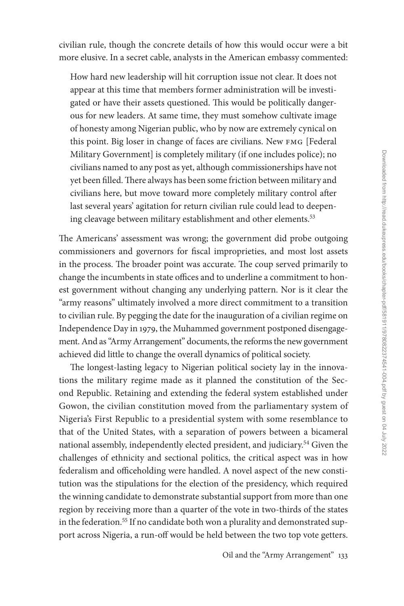civilian rule, though the concrete details of how this would occur were a bit more elusive. In a secret cable, analysts in the American embassy commented:

How hard new leadership will hit corruption issue not clear. It does not appear at this time that members former administration will be investigated or have their assets questioned. This would be politically dangerous for new leaders. At same time, they must somehow cultivate image of honesty among Nigerian public, who by now are extremely cynical on this point. Big loser in change of faces are civilians. New FMG [Federal Military Government] is completely military (if one includes police); no civilians named to any post as yet, although commissionerships have not yet been filled. There always has been some friction between military and civilians here, but move toward more completely military control after last several years' agitation for return civilian rule could lead to deepening cleavage between military establishment and other elements.<sup>53</sup>

The Americans' assessment was wrong; the government did probe outgoing commissioners and governors for fiscal improprieties, and most lost assets in the process. The broader point was accurate. The coup served primarily to change the incumbents in state offices and to underline a commitment to honest government without changing any underlying pattern. Nor is it clear the "army reasons" ultimately involved a more direct commitment to a transition to civilian rule. By pegging the date for the inauguration of a civilian regime on Independence Day in 1979, the Muhammed government postponed disengagement. And as "Army Arrangement" documents, the reforms the new government achieved did little to change the overall dynamics of political society.

The longest-lasting legacy to Nigerian political society lay in the innovations the military regime made as it planned the constitution of the Second Republic. Retaining and extending the federal system established under Gowon, the civilian constitution moved from the parliamentary system of Nigeria's First Republic to a presidential system with some resemblance to that of the United States, with a separation of powers between a bicameral national assembly, independently elected president, and judiciary.<sup>54</sup> Given the challenges of ethnicity and sectional politics, the critical aspect was in how federalism and officeholding were handled. A novel aspect of the new constitution was the stipulations for the election of the presidency, which required the winning candidate to demonstrate substantial support from more than one region by receiving more than a quarter of the vote in two-thirds of the states in the federation.<sup>[55](#page--1-0)</sup> If no candidate both won a plurality and demonstrated support across Nigeria, a run-off would be held between the two top vote getters.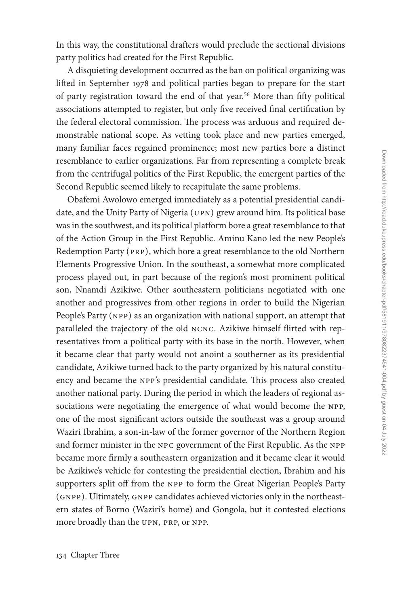In this way, the constitutional drafters would preclude the sectional divisions party politics had created for the First Republic.

A disquieting development occurred as the ban on political organizing was lifted in September 1978 and political parties began to prepare for the start of party registration toward the end of that year.<sup>[56](#page--1-0)</sup> More than fifty political associations attempted to register, but only five received final certification by the federal electoral commission. The process was arduous and required demonstrable national scope. As vetting took place and new parties emerged, many familiar faces regained prominence; most new parties bore a distinct resemblance to earlier organizations. Far from representing a complete break from the centrifugal politics of the First Republic, the emergent parties of the Second Republic seemed likely to recapitulate the same problems.

Obafemi Awolowo emerged immediately as a potential presidential candidate, and the Unity Party of Nigeria (upn) grew around him. Its political base was in the southwest, and its political platform bore a great resemblance to that of the Action Group in the First Republic. Aminu Kano led the new People's Redemption Party (prp), which bore a great resemblance to the old Northern Elements Progressive Union. In the southeast, a somewhat more complicated process played out, in part because of the region's most prominent political son, Nnamdi Azikiwe. Other southeastern politicians negotiated with one another and progressives from other regions in order to build the Nigerian People's Party (npp) as an organization with national support, an attempt that paralleled the trajectory of the old ncnc. Azikiwe himself flirted with representatives from a political party with its base in the north. However, when it became clear that party would not anoint a southerner as its presidential candidate, Azikiwe turned back to the party organized by his natural constituency and became the npp's presidential candidate. This process also created another national party. During the period in which the leaders of regional associations were negotiating the emergence of what would become the npp, one of the most significant actors outside the southeast was a group around Waziri Ibrahim, a son-in-law of the former governor of the Northern Region and former minister in the npc government of the First Republic. As the npp became more firmly a southeastern organization and it became clear it would be Azikiwe's vehicle for contesting the presidential election, Ibrahim and his supporters split off from the npp to form the Great Nigerian People's Party (gnpp). Ultimately, gnpp candidates achieved victories only in the northeastern states of Borno (Waziri's home) and Gongola, but it contested elections more broadly than the upn, prp, or npp.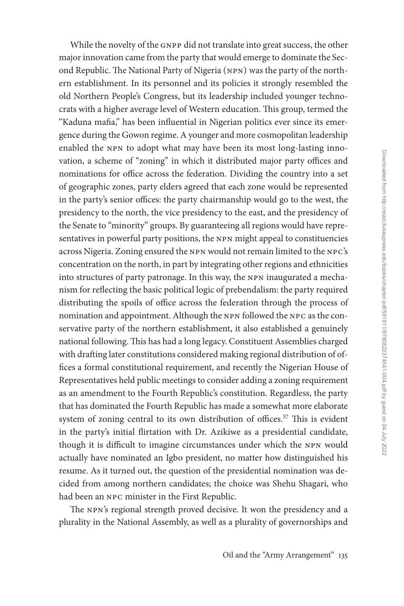While the novelty of the gnpp did not translate into great success, the other major innovation came from the party that would emerge to dominate the Second Republic. The National Party of Nigeria (npn) was the party of the northern establishment. In its personnel and its policies it strongly resembled the old Northern People's Congress, but its leadership included younger technocrats with a higher average level of Western education. This group, termed the "Kaduna mafia," has been influential in Nigerian politics ever since its emergence during the Gowon regime. A younger and more cosmopolitan leadership enabled the npn to adopt what may have been its most long-lasting innovation, a scheme of "zoning" in which it distributed major party offices and nominations for office across the federation. Dividing the country into a set of geographic zones, party elders agreed that each zone would be represented in the party's senior offices: the party chairmanship would go to the west, the presidency to the north, the vice presidency to the east, and the presidency of the Senate to "minority" groups. By guaranteeing all regions would have representatives in powerful party positions, the NPN might appeal to constituencies across Nigeria. Zoning ensured the npn would not remain limited to the npc's concentration on the north, in part by integrating other regions and ethnicities into structures of party patronage. In this way, the npn inaugurated a mechanism for reflecting the basic political logic of prebendalism: the party required distributing the spoils of office across the federation through the process of nomination and appointment. Although the NPN followed the NPC as the conservative party of the northern establishment, it also established a genuinely national following. This has had a long legacy. Constituent Assemblies charged with drafting later constitutions considered making regional distribution of offices a formal constitutional requirement, and recently the Nigerian House of Representatives held public meetings to consider adding a zoning requirement as an amendment to the Fourth Republic's constitution. Regardless, the party that has dominated the Fourth Republic has made a somewhat more elaborate system of zoning central to its own distribution of offices.<sup>[57](#page--1-0)</sup> This is evident in the party's initial flirtation with Dr. Azikiwe as a presidential candidate, though it is difficult to imagine circumstances under which the npn would actually have nominated an Igbo president, no matter how distinguished his resume. As it turned out, the question of the presidential nomination was decided from among northern candidates; the choice was Shehu Shagari, who had been an npc minister in the First Republic.

The npn's regional strength proved decisive. It won the presidency and a plurality in the National Assembly, as well as a plurality of governorships and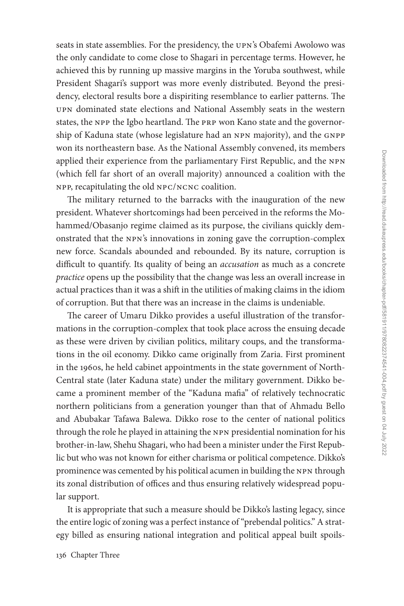seats in state assemblies. For the presidency, the upn's Obafemi Awolowo was the only candidate to come close to Shagari in percentage terms. However, he achieved this by running up massive margins in the Yoruba southwest, while President Shagari's support was more evenly distributed. Beyond the presidency, electoral results bore a dispiriting resemblance to earlier patterns. The upn dominated state elections and National Assembly seats in the western states, the npp the Igbo heartland. The prp won Kano state and the governorship of Kaduna state (whose legislature had an NPN majority), and the GNPP won its northeastern base. As the National Assembly convened, its members applied their experience from the parliamentary First Republic, and the npn (which fell far short of an overall majority) announced a coalition with the npp, recapitulating the old npc/ncnc coalition.

The military returned to the barracks with the inauguration of the new president. Whatever shortcomings had been perceived in the reforms the Mohammed/Obasanjo regime claimed as its purpose, the civilians quickly demonstrated that the npn's innovations in zoning gave the corruption-complex new force. Scandals abounded and rebounded. By its nature, corruption is difficult to quantify. Its quality of being an *accusation* as much as a concrete *practice* opens up the possibility that the change was less an overall increase in actual practices than it was a shift in the utilities of making claims in the idiom of corruption. But that there was an increase in the claims is undeniable.

The career of Umaru Dikko provides a useful illustration of the transformations in the corruption-complex that took place across the ensuing decade as these were driven by civilian politics, military coups, and the transformations in the oil economy. Dikko came originally from Zaria. First prominent in the 1960s, he held cabinet appointments in the state government of North-Central state (later Kaduna state) under the military government. Dikko became a prominent member of the "Kaduna mafia" of relatively technocratic northern politicians from a generation younger than that of Ahmadu Bello and Abubakar Tafawa Balewa. Dikko rose to the center of national politics through the role he played in attaining the npn presidential nomination for his brother-in-law, Shehu Shagari, who had been a minister under the First Republic but who was not known for either charisma or political competence. Dikko's prominence was cemented by his political acumen in building the npn through its zonal distribution of offices and thus ensuring relatively widespread popular support.

It is appropriate that such a measure should be Dikko's lasting legacy, since the entire logic of zoning was a perfect instance of "prebendal politics." A strategy billed as ensuring national integration and political appeal built spoils-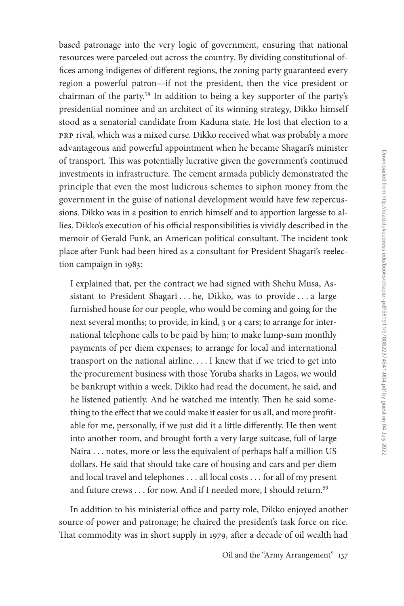based patronage into the very logic of government, ensuring that national resources were parceled out across the country. By dividing constitutional offices among indigenes of different regions, the zoning party guaranteed every region a powerful patron—if not the president, then the vice president or chairman of the party.[58](#page--1-0) In addition to being a key supporter of the party's presidential nominee and an architect of its winning strategy, Dikko himself stood as a senatorial candidate from Kaduna state. He lost that election to a prp rival, which was a mixed curse. Dikko received what was probably a more advantageous and powerful appointment when he became Shagari's minister of transport. This was potentially lucrative given the government's continued investments in infrastructure. The cement armada publicly demonstrated the principle that even the most ludicrous schemes to siphon money from the government in the guise of national development would have few repercussions. Dikko was in a position to enrich himself and to apportion largesse to allies. Dikko's execution of his official responsibilities is vividly described in the memoir of Gerald Funk, an American political consultant. The incident took place after Funk had been hired as a consultant for President Shagari's reelection campaign in 1983:

I explained that, per the contract we had signed with Shehu Musa, Assistant to President Shagari . . . he, Dikko, was to provide . . . a large furnished house for our people, who would be coming and going for the next several months; to provide, in kind, 3 or 4 cars; to arrange for international telephone calls to be paid by him; to make lump-sum monthly payments of per diem expenses; to arrange for local and international transport on the national airline. . . . I knew that if we tried to get into the procurement business with those Yoruba sharks in Lagos, we would be bankrupt within a week. Dikko had read the document, he said, and he listened patiently. And he watched me intently. Then he said something to the effect that we could make it easier for us all, and more profitable for me, personally, if we just did it a little differently. He then went into another room, and brought forth a very large suitcase, full of large Naira . . . notes, more or less the equivalent of perhaps half a million US dollars. He said that should take care of housing and cars and per diem and local travel and telephones . . . all local costs . . . for all of my present and future crews . . . for now. And if I needed more, I should return.<sup>59</sup>

In addition to his ministerial office and party role, Dikko enjoyed another source of power and patronage; he chaired the president's task force on rice. That commodity was in short supply in 1979, after a decade of oil wealth had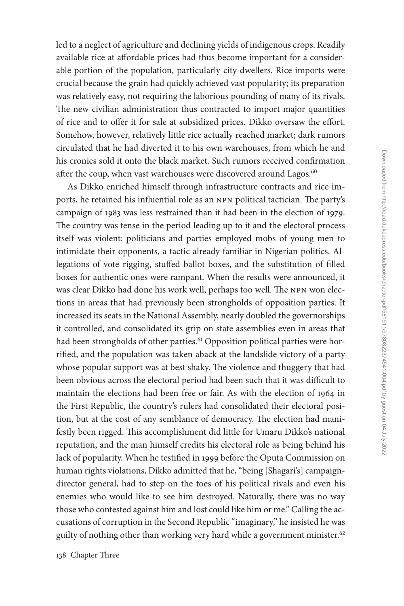led to a neglect of agriculture and declining yields of indigenous crops. Readily available rice at affordable prices had thus become important for a considerable portion of the population, particularly city dwellers. Rice imports were crucial because the grain had quickly achieved vast popularity; its preparation was relatively easy, not requiring the laborious pounding of many of its rivals. The new civilian administration thus contracted to import major quantities of rice and to offer it for sale at subsidized prices. Dikko oversaw the effort. Somehow, however, relatively little rice actually reached market; dark rumors circulated that he had diverted it to his own warehouses, from which he and his cronies sold it onto the black market. Such rumors received confirmation after the coup, when vast warehouses were discovered around Lagos.<sup>[60](#page--1-0)</sup>

As Dikko enriched himself through infrastructure contracts and rice imports, he retained his influential role as an npn political tactician. The party's campaign of 1983 was less restrained than it had been in the election of 1979. The country was tense in the period leading up to it and the electoral process itself was violent: politicians and parties employed mobs of young men to intimidate their opponents, a tactic already familiar in Nigerian politics. Allegations of vote rigging, stuffed ballot boxes, and the substitution of filled boxes for authentic ones were rampant. When the results were announced, it was clear Dikko had done his work well, perhaps too well. The npn won elections in areas that had previously been strongholds of opposition parties. It increased its seats in the National Assembly, nearly doubled the governorships it controlled, and consolidated its grip on state assemblies even in areas that had been strongholds of other parties.<sup>61</sup> Opposition political parties were horrified, and the population was taken aback at the landslide victory of a party whose popular support was at best shaky. The violence and thuggery that had been obvious across the electoral period had been such that it was difficult to maintain the elections had been free or fair. As with the election of 1964 in the First Republic, the country's rulers had consolidated their electoral position, but at the cost of any semblance of democracy. The election had manifestly been rigged. This accomplishment did little for Umaru Dikko's national reputation, and the man himself credits his electoral role as being behind his lack of popularity. When he testified in 1999 before the Oputa Commission on human rights violations, Dikko admitted that he, "being [Shagari's] campaigndirector general, had to step on the toes of his political rivals and even his enemies who would like to see him destroyed. Naturally, there was no way those who contested against him and lost could like him or me." Calling the accusations of corruption in the Second Republic "imaginary," he insisted he was guilty of nothing other than working very hard while a government minister.<sup>[62](#page--1-0)</sup>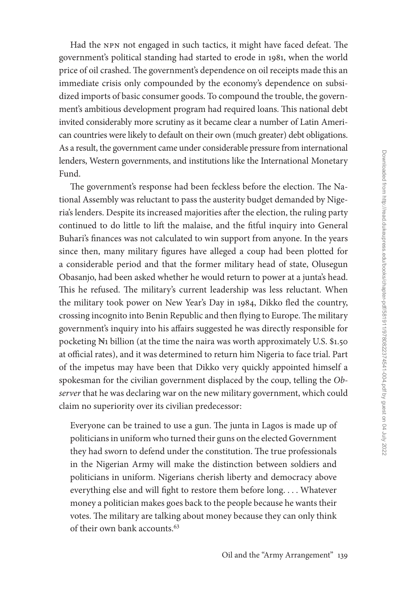Had the npn not engaged in such tactics, it might have faced defeat. The government's political standing had started to erode in 1981, when the world price of oil crashed. The government's dependence on oil receipts made this an immediate crisis only compounded by the economy's dependence on subsidized imports of basic consumer goods. To compound the trouble, the government's ambitious development program had required loans. This national debt invited considerably more scrutiny as it became clear a number of Latin American countries were likely to default on their own (much greater) debt obligations. As a result, the government came under considerable pressure from international lenders, Western governments, and institutions like the International Monetary Fund.

The government's response had been feckless before the election. The National Assembly was reluctant to pass the austerity budget demanded by Nigeria's lenders. Despite its increased majorities after the election, the ruling party continued to do little to lift the malaise, and the fitful inquiry into General Buhari's finances was not calculated to win support from anyone. In the years since then, many military figures have alleged a coup had been plotted for a considerable period and that the former military head of state, Olusegun Obasanjo, had been asked whether he would return to power at a junta's head. This he refused. The military's current leadership was less reluctant. When the military took power on New Year's Day in 1984, Dikko fled the country, crossing incognito into Benin Republic and then flying to Europe. The military government's inquiry into his affairs suggested he was directly responsible for pocketing ₦1 billion (at the time the naira was worth approximately U.S. \$1.50 at official rates), and it was determined to return him Nigeria to face trial. Part of the impetus may have been that Dikko very quickly appointed himself a spokesman for the civilian government displaced by the coup, telling the *Observer* that he was declaring war on the new military government, which could claim no superiority over its civilian predecessor:

Everyone can be trained to use a gun. The junta in Lagos is made up of politicians in uniform who turned their guns on the elected Government they had sworn to defend under the constitution. The true professionals in the Nigerian Army will make the distinction between soldiers and politicians in uniform. Nigerians cherish liberty and democracy above everything else and will fight to restore them before long. . . . Whatever money a politician makes goes back to the people because he wants their votes. The military are talking about money because they can only think of their own bank accounts.[63](#page--1-0)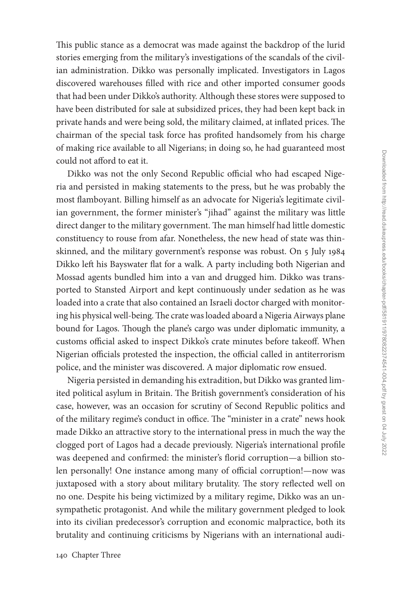This public stance as a democrat was made against the backdrop of the lurid stories emerging from the military's investigations of the scandals of the civilian administration. Dikko was personally implicated. Investigators in Lagos discovered warehouses filled with rice and other imported consumer goods that had been under Dikko's authority. Although these stores were supposed to have been distributed for sale at subsidized prices, they had been kept back in private hands and were being sold, the military claimed, at inflated prices. The chairman of the special task force has profited handsomely from his charge of making rice available to all Nigerians; in doing so, he had guaranteed most could not afford to eat it.

Dikko was not the only Second Republic official who had escaped Nigeria and persisted in making statements to the press, but he was probably the most flamboyant. Billing himself as an advocate for Nigeria's legitimate civilian government, the former minister's "jihad" against the military was little direct danger to the military government. The man himself had little domestic constituency to rouse from afar. Nonetheless, the new head of state was thinskinned, and the military government's response was robust. On 5 July 1984 Dikko left his Bayswater flat for a walk. A party including both Nigerian and Mossad agents bundled him into a van and drugged him. Dikko was transported to Stansted Airport and kept continuously under sedation as he was loaded into a crate that also contained an Israeli doctor charged with monitoring his physical well-being. The crate was loaded aboard a Nigeria Airways plane bound for Lagos. Though the plane's cargo was under diplomatic immunity, a customs official asked to inspect Dikko's crate minutes before takeoff. When Nigerian officials protested the inspection, the official called in antiterrorism police, and the minister was discovered. A major diplomatic row ensued.

Nigeria persisted in demanding his extradition, but Dikko was granted limited political asylum in Britain. The British government's consideration of his case, however, was an occasion for scrutiny of Second Republic politics and of the military regime's conduct in office. The "minister in a crate" news hook made Dikko an attractive story to the international press in much the way the clogged port of Lagos had a decade previously. Nigeria's international profile was deepened and confirmed: the minister's florid corruption—a billion stolen personally! One instance among many of official corruption!—now was juxtaposed with a story about military brutality. The story reflected well on no one. Despite his being victimized by a military regime, Dikko was an unsympathetic protagonist. And while the military government pledged to look into its civilian predecessor's corruption and economic malpractice, both its brutality and continuing criticisms by Nigerians with an international audi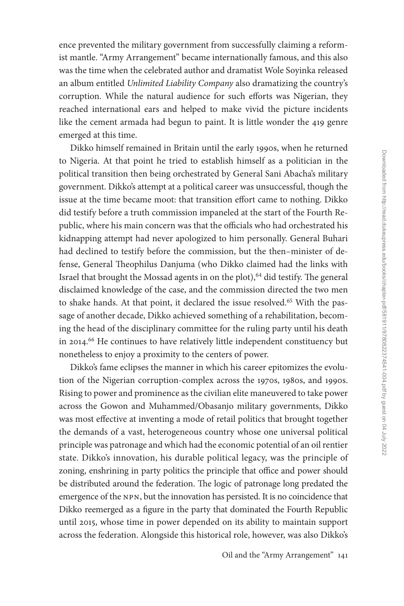ence prevented the military government from successfully claiming a reformist mantle. "Army Arrangement" became internationally famous, and this also was the time when the celebrated author and dramatist Wole Soyinka released an album entitled *Unlimited Liability Company* also dramatizing the country's corruption. While the natural audience for such efforts was Nigerian, they reached international ears and helped to make vivid the picture incidents like the cement armada had begun to paint. It is little wonder the 419 genre emerged at this time.

Dikko himself remained in Britain until the early 1990s, when he returned to Nigeria. At that point he tried to establish himself as a politician in the political transition then being orchestrated by General Sani Abacha's military government. Dikko's attempt at a political career was unsuccessful, though the issue at the time became moot: that transition effort came to nothing. Dikko did testify before a truth commission impaneled at the start of the Fourth Republic, where his main concern was that the officials who had orchestrated his kidnapping attempt had never apologized to him personally. General Buhari had declined to testify before the commission, but the then–minister of defense, General Theophilus Danjuma (who Dikko claimed had the links with Israel that brought the Mossad agents in on the plot),<sup>64</sup> did testify. The general disclaimed knowledge of the case, and the commission directed the two men to shake hands. At that point, it declared the issue resolved.<sup>65</sup> With the passage of another decade, Dikko achieved something of a rehabilitation, becoming the head of the disciplinary committee for the ruling party until his death in 2014[.66](#page--1-0) He continues to have relatively little independent constituency but nonetheless to enjoy a proximity to the centers of power.

Dikko's fame eclipses the manner in which his career epitomizes the evolution of the Nigerian corruption-complex across the 1970s, 1980s, and 1990s. Rising to power and prominence as the civilian elite maneuvered to take power across the Gowon and Muhammed/Obasanjo military governments, Dikko was most effective at inventing a mode of retail politics that brought together the demands of a vast, heterogeneous country whose one universal political principle was patronage and which had the economic potential of an oil rentier state. Dikko's innovation, his durable political legacy, was the principle of zoning, enshrining in party politics the principle that office and power should be distributed around the federation. The logic of patronage long predated the emergence of the npn, but the innovation has persisted. It is no coincidence that Dikko reemerged as a figure in the party that dominated the Fourth Republic until 2015, whose time in power depended on its ability to maintain support across the federation. Alongside this historical role, however, was also Dikko's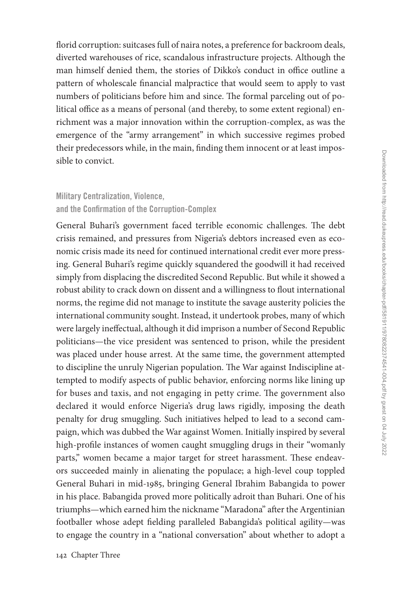florid corruption: suitcases full of naira notes, a preference for backroom deals, diverted warehouses of rice, scandalous infrastructure projects. Although the man himself denied them, the stories of Dikko's conduct in office outline a pattern of wholescale financial malpractice that would seem to apply to vast numbers of politicians before him and since. The formal parceling out of political office as a means of personal (and thereby, to some extent regional) enrichment was a major innovation within the corruption-complex, as was the emergence of the "army arrangement" in which successive regimes probed their predecessors while, in the main, finding them innocent or at least impossible to convict.

## Military Centralization, Violence, and the Confirmation of the Corruption-Complex

General Buhari's government faced terrible economic challenges. The debt crisis remained, and pressures from Nigeria's debtors increased even as economic crisis made its need for continued international credit ever more pressing. General Buhari's regime quickly squandered the goodwill it had received simply from displacing the discredited Second Republic. But while it showed a robust ability to crack down on dissent and a willingness to flout international norms, the regime did not manage to institute the savage austerity policies the international community sought. Instead, it undertook probes, many of which were largely ineffectual, although it did imprison a number of Second Republic politicians—the vice president was sentenced to prison, while the president was placed under house arrest. At the same time, the government attempted to discipline the unruly Nigerian population. The War against Indiscipline attempted to modify aspects of public behavior, enforcing norms like lining up for buses and taxis, and not engaging in petty crime. The government also declared it would enforce Nigeria's drug laws rigidly, imposing the death penalty for drug smuggling. Such initiatives helped to lead to a second campaign, which was dubbed the War against Women. Initially inspired by several high-profile instances of women caught smuggling drugs in their "womanly parts," women became a major target for street harassment. These endeavors succeeded mainly in alienating the populace; a high-level coup toppled General Buhari in mid-1985, bringing General Ibrahim Babangida to power in his place. Babangida proved more politically adroit than Buhari. One of his triumphs—which earned him the nickname "Maradona" after the Argentinian footballer whose adept fielding paralleled Babangida's political agility—was to engage the country in a "national conversation" about whether to adopt a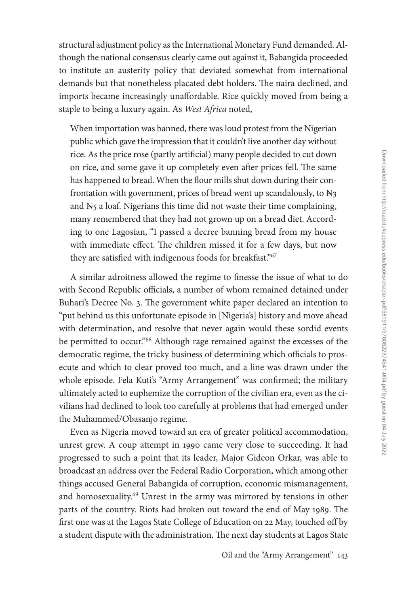structural adjustment policy as the International Monetary Fund demanded. Although the national consensus clearly came out against it, Babangida proceeded to institute an austerity policy that deviated somewhat from international demands but that nonetheless placated debt holders. The naira declined, and imports became increasingly unaffordable. Rice quickly moved from being a staple to being a luxury again. As *West Africa* noted,

When importation was banned, there was loud protest from the Nigerian public which gave the impression that it couldn't live another day without rice. As the price rose (partly artificial) many people decided to cut down on rice, and some gave it up completely even after prices fell. The same has happened to bread. When the flour mills shut down during their confrontation with government, prices of bread went up scandalously, to  $\mathbb{N}_3$ and N5 a loaf. Nigerians this time did not waste their time complaining, many remembered that they had not grown up on a bread diet. According to one Lagosian, "I passed a decree banning bread from my house with immediate effect. The children missed it for a few days, but now they are satisfied with indigenous foods for breakfast."[67](#page--1-0)

A similar adroitness allowed the regime to finesse the issue of what to do with Second Republic officials, a number of whom remained detained under Buhari's Decree No. 3. The government white paper declared an intention to "put behind us this unfortunate episode in [Nigeria's] history and move ahead with determination, and resolve that never again would these sordid events be permitted to occur."[68](#page--1-0) Although rage remained against the excesses of the democratic regime, the tricky business of determining which officials to prosecute and which to clear proved too much, and a line was drawn under the whole episode. Fela Kuti's "Army Arrangement" was confirmed; the military ultimately acted to euphemize the corruption of the civilian era, even as the civilians had declined to look too carefully at problems that had emerged under the Muhammed/Obasanjo regime.

Even as Nigeria moved toward an era of greater political accommodation, unrest grew. A coup attempt in 1990 came very close to succeeding. It had progressed to such a point that its leader, Major Gideon Orkar, was able to broadcast an address over the Federal Radio Corporation, which among other things accused General Babangida of corruption, economic mismanagement, and homosexuality.<sup>69</sup> Unrest in the army was mirrored by tensions in other parts of the country. Riots had broken out toward the end of May 1989. The first one was at the Lagos State College of Education on 22 May, touched off by a student dispute with the administration. The next day students at Lagos State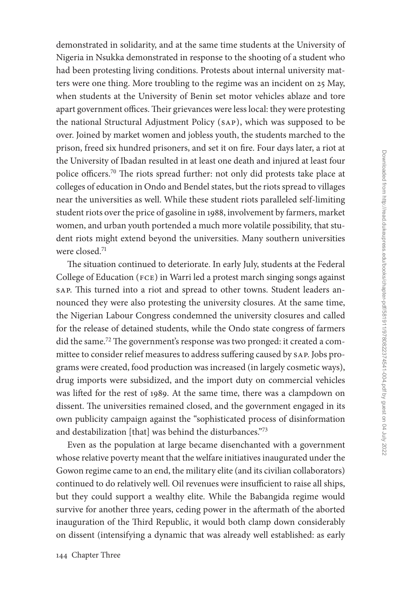demonstrated in solidarity, and at the same time students at the University of Nigeria in Nsukka demonstrated in response to the shooting of a student who had been protesting living conditions. Protests about internal university matters were one thing. More troubling to the regime was an incident on 25 May, when students at the University of Benin set motor vehicles ablaze and tore apart government offices. Their grievances were less local: they were protesting the national Structural Adjustment Policy (sap), which was supposed to be over. Joined by market women and jobless youth, the students marched to the prison, freed six hundred prisoners, and set it on fire. Four days later, a riot at the University of Ibadan resulted in at least one death and injured at least four police officers.<sup>70</sup> The riots spread further: not only did protests take place at colleges of education in Ondo and Bendel states, but the riots spread to villages near the universities as well. While these student riots paralleled self-limiting student riots over the price of gasoline in 1988, involvement by farmers, market women, and urban youth portended a much more volatile possibility, that student riots might extend beyond the universities. Many southern universities were closed[.71](#page--1-0)

The situation continued to deteriorate. In early July, students at the Federal College of Education (FCE) in Warri led a protest march singing songs against sap. This turned into a riot and spread to other towns. Student leaders announced they were also protesting the university closures. At the same time, the Nigerian Labour Congress condemned the university closures and called for the release of detained students, while the Ondo state congress of farmers did the same.[72](#page--1-0) The government's response was two pronged: it created a committee to consider relief measures to address suffering caused by sap. Jobs programs were created, food production was increased (in largely cosmetic ways), drug imports were subsidized, and the import duty on commercial vehicles was lifted for the rest of 1989. At the same time, there was a clampdown on dissent. The universities remained closed, and the government engaged in its own publicity campaign against the "sophisticated process of disinformation and destabilization [that] was behind the disturbances.["73](#page--1-0)

Even as the population at large became disenchanted with a government whose relative poverty meant that the welfare initiatives inaugurated under the Gowon regime came to an end, the military elite (and its civilian collaborators) continued to do relatively well. Oil revenues were insufficient to raise all ships, but they could support a wealthy elite. While the Babangida regime would survive for another three years, ceding power in the aftermath of the aborted inauguration of the Third Republic, it would both clamp down considerably on dissent (intensifying a dynamic that was already well established: as early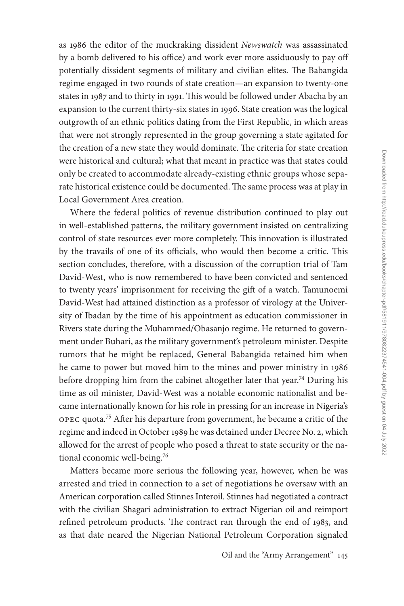as 1986 the editor of the muckraking dissident *Newswatch* was assassinated by a bomb delivered to his office) and work ever more assiduously to pay off potentially dissident segments of military and civilian elites. The Babangida regime engaged in two rounds of state creation—an expansion to twenty-one states in 1987 and to thirty in 1991. This would be followed under Abacha by an expansion to the current thirty-six states in 1996. State creation was the logical outgrowth of an ethnic politics dating from the First Republic, in which areas that were not strongly represented in the group governing a state agitated for the creation of a new state they would dominate. The criteria for state creation were historical and cultural; what that meant in practice was that states could only be created to accommodate already-existing ethnic groups whose separate historical existence could be documented. The same process was at play in Local Government Area creation.

Where the federal politics of revenue distribution continued to play out in well-established patterns, the military government insisted on centralizing control of state resources ever more completely. This innovation is illustrated by the travails of one of its officials, who would then become a critic. This section concludes, therefore, with a discussion of the corruption trial of Tam David-West, who is now remembered to have been convicted and sentenced to twenty years' imprisonment for receiving the gift of a watch. Tamunoemi David-West had attained distinction as a professor of virology at the University of Ibadan by the time of his appointment as education commissioner in Rivers state during the Muhammed/Obasanjo regime. He returned to government under Buhari, as the military government's petroleum minister. Despite rumors that he might be replaced, General Babangida retained him when he came to power but moved him to the mines and power ministry in 1986 before dropping him from the cabinet altogether later that year.<sup>74</sup> During his time as oil minister, David-West was a notable economic nationalist and became internationally known for his role in pressing for an increase in Nigeria's opec quota[.75](#page--1-0) After his departure from government, he became a critic of the regime and indeed in October 1989 he was detained under Decree No. 2, which allowed for the arrest of people who posed a threat to state security or the national economic well-being.[76](#page--1-0)

Matters became more serious the following year, however, when he was arrested and tried in connection to a set of negotiations he oversaw with an American corporation called Stinnes Interoil. Stinnes had negotiated a contract with the civilian Shagari administration to extract Nigerian oil and reimport refined petroleum products. The contract ran through the end of 1983, and as that date neared the Nigerian National Petroleum Corporation signaled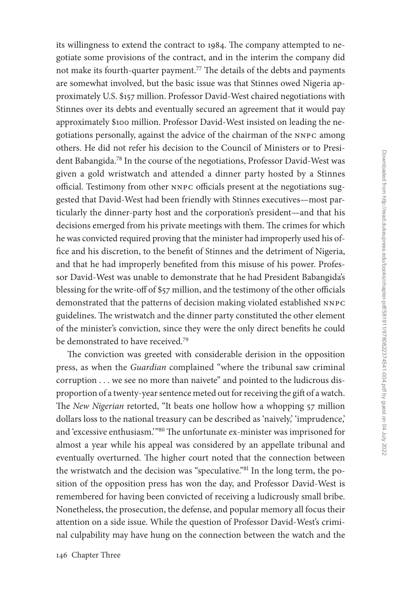its willingness to extend the contract to 1984. The company attempted to negotiate some provisions of the contract, and in the interim the company did not make its fourth-quarter payment.<sup>77</sup> The details of the debts and payments are somewhat involved, but the basic issue was that Stinnes owed Nigeria approximately U.S. \$157 million. Professor David-West chaired negotiations with Stinnes over its debts and eventually secured an agreement that it would pay approximately \$100 million. Professor David-West insisted on leading the negotiations personally, against the advice of the chairman of the nnpc among others. He did not refer his decision to the Council of Ministers or to President Babangida[.78](#page--1-0) In the course of the negotiations, Professor David-West was given a gold wristwatch and attended a dinner party hosted by a Stinnes official. Testimony from other nnpc officials present at the negotiations suggested that David-West had been friendly with Stinnes executives—most particularly the dinner-party host and the corporation's president—and that his decisions emerged from his private meetings with them. The crimes for which he was convicted required proving that the minister had improperly used his office and his discretion, to the benefit of Stinnes and the detriment of Nigeria, and that he had improperly benefited from this misuse of his power. Professor David-West was unable to demonstrate that he had President Babangida's blessing for the write-off of \$57 million, and the testimony of the other officials demonstrated that the patterns of decision making violated established NNPC guidelines. The wristwatch and the dinner party constituted the other element of the minister's conviction, since they were the only direct benefits he could be demonstrated to have received[.79](#page--1-0)

The conviction was greeted with considerable derision in the opposition press, as when the *Guardian* complained "where the tribunal saw criminal corruption . . . we see no more than naivete" and pointed to the ludicrous disproportion of a twenty-year sentence meted out for receiving the gift of a watch. The *New Nigerian* retorted, "It beats one hollow how a whopping 57 million dollars loss to the national treasury can be described as 'naively,' 'imprudence,' and 'excessive enthusiasm.'"[80](#page--1-0) The unfortunate ex-minister was imprisoned for almost a year while his appeal was considered by an appellate tribunal and eventually overturned. The higher court noted that the connection between the wristwatch and the decision was "speculative."<sup>81</sup> In the long term, the position of the opposition press has won the day, and Professor David-West is remembered for having been convicted of receiving a ludicrously small bribe. Nonetheless, the prosecution, the defense, and popular memory all focus their attention on a side issue. While the question of Professor David-West's criminal culpability may have hung on the connection between the watch and the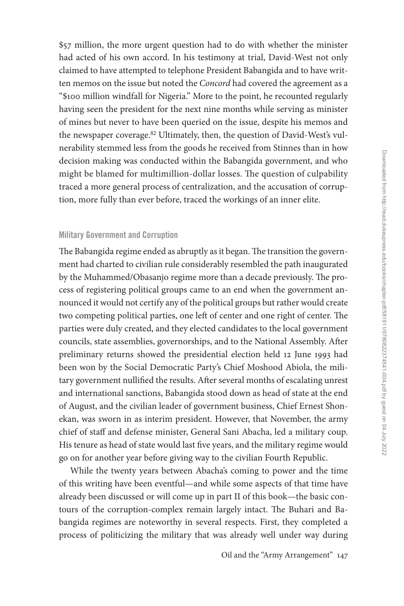\$57 million, the more urgent question had to do with whether the minister had acted of his own accord. In his testimony at trial, David-West not only claimed to have attempted to telephone President Babangida and to have written memos on the issue but noted the *Concord* had covered the agreement as a "\$100 million windfall for Nigeria." More to the point, he recounted regularly having seen the president for the next nine months while serving as minister of mines but never to have been queried on the issue, despite his memos and the newspaper coverage.<sup>82</sup> Ultimately, then, the question of David-West's vulnerability stemmed less from the goods he received from Stinnes than in how decision making was conducted within the Babangida government, and who might be blamed for multimillion-dollar losses. The question of culpability traced a more general process of centralization, and the accusation of corruption, more fully than ever before, traced the workings of an inner elite.

### Military Government and Corruption

The Babangida regime ended as abruptly as it began. The transition the government had charted to civilian rule considerably resembled the path inaugurated by the Muhammed/Obasanjo regime more than a decade previously. The process of registering political groups came to an end when the government announced it would not certify any of the political groups but rather would create two competing political parties, one left of center and one right of center. The parties were duly created, and they elected candidates to the local government councils, state assemblies, governorships, and to the National Assembly. After preliminary returns showed the presidential election held 12 June 1993 had been won by the Social Democratic Party's Chief Moshood Abiola, the military government nullified the results. After several months of escalating unrest and international sanctions, Babangida stood down as head of state at the end of August, and the civilian leader of government business, Chief Ernest Shonekan, was sworn in as interim president. However, that November, the army chief of staff and defense minister, General Sani Abacha, led a military coup. His tenure as head of state would last five years, and the military regime would go on for another year before giving way to the civilian Fourth Republic.

While the twenty years between Abacha's coming to power and the time of this writing have been eventful—and while some aspects of that time have already been discussed or will come up in part II of this book—the basic contours of the corruption-complex remain largely intact. The Buhari and Babangida regimes are noteworthy in several respects. First, they completed a process of politicizing the military that was already well under way during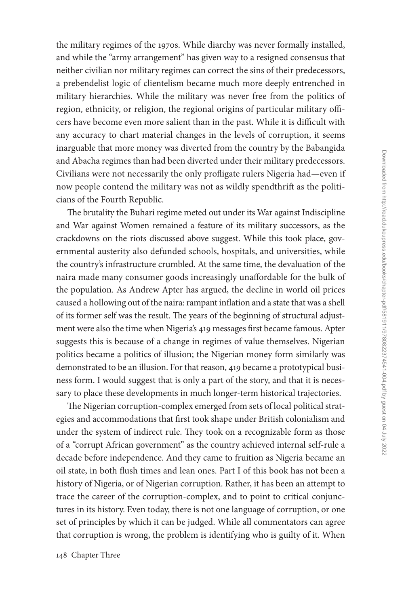the military regimes of the 1970s. While diarchy was never formally installed, and while the "army arrangement" has given way to a resigned consensus that neither civilian nor military regimes can correct the sins of their predecessors, a prebendelist logic of clientelism became much more deeply entrenched in military hierarchies. While the military was never free from the politics of region, ethnicity, or religion, the regional origins of particular military officers have become even more salient than in the past. While it is difficult with any accuracy to chart material changes in the levels of corruption, it seems inarguable that more money was diverted from the country by the Babangida and Abacha regimes than had been diverted under their military predecessors. Civilians were not necessarily the only profligate rulers Nigeria had—even if now people contend the military was not as wildly spendthrift as the politicians of the Fourth Republic.

The brutality the Buhari regime meted out under its War against Indiscipline and War against Women remained a feature of its military successors, as the crackdowns on the riots discussed above suggest. While this took place, governmental austerity also defunded schools, hospitals, and universities, while the country's infrastructure crumbled. At the same time, the devaluation of the naira made many consumer goods increasingly unaffordable for the bulk of the population. As Andrew Apter has argued, the decline in world oil prices caused a hollowing out of the naira: rampant inflation and a state that was a shell of its former self was the result. The years of the beginning of structural adjustment were also the time when Nigeria's 419 messages first became famous. Apter suggests this is because of a change in regimes of value themselves. Nigerian politics became a politics of illusion; the Nigerian money form similarly was demonstrated to be an illusion. For that reason, 419 became a prototypical business form. I would suggest that is only a part of the story, and that it is necessary to place these developments in much longer-term historical trajectories.

The Nigerian corruption-complex emerged from sets of local political strategies and accommodations that first took shape under British colonialism and under the system of indirect rule. They took on a recognizable form as those of a "corrupt African government" as the country achieved internal self-rule a decade before independence. And they came to fruition as Nigeria became an oil state, in both flush times and lean ones. Part I of this book has not been a history of Nigeria, or of Nigerian corruption. Rather, it has been an attempt to trace the career of the corruption-complex, and to point to critical conjunctures in its history. Even today, there is not one language of corruption, or one set of principles by which it can be judged. While all commentators can agree that corruption is wrong, the problem is identifying who is guilty of it. When